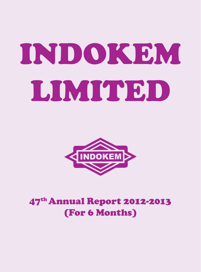# Indokem LIMITED



# 47th Annual Report 2012-2013 (For 6 Months)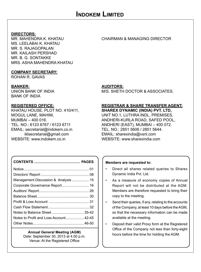**DIRECTORS:** MS. LEELABAI K. KHATAU MR. S. RAJAGOPALAN MR. KAILASH PERSHAD MR. B. G. SONTAKKE MRS. ASHA MAHENDRA KHATAU

## **COMPANY SECRETARY:**

ROHAN R. GAVAS

BANK OF INDIA

KHATAU HOUSE, PLOT NO. 410/411, **SHAREX DYNAMIC (INDIA) PVT. LTD,** EMAIL: secretarial@indokem.co.in iklsecretarial@gmail.com EMAIL: sharexindia@vsnl.com

## CHAIRMAN & MANAGING DIRECTOR

## **BANKER: AUDITORS:**

UNION BANK OF INDIA M/S. SHETH DOCTOR & ASSOCIATES.

## **REGISTERED OFFICE: REGISTRAR & SHARE TRANSFER AGENT:**

MOGUL LANE, MAHIM, THE MILL AND THE MOLE ONLY UNIT NO.1, LUTHRA INDL. PREMISES, MUMBAI – 400 016. ANDHERI-KURLA ROAD, SAFED POOL, ANDHERI (EAST), MUMBAI – 400 072.<br>TEL. NO.: 2851 5606 / 2851 5644. WEBSITE: www.sharexindia.com

| Management Discussion & Analysis  15   |
|----------------------------------------|
|                                        |
|                                        |
|                                        |
|                                        |
|                                        |
|                                        |
| Notes to Profit and Loss Account 42-45 |
|                                        |

## **Annual General Meeting (AGM)**

Date: September 30, 2013 at 4.00 p.m. Venue: At the Registered Office

#### **Members are requested to:**

- Direct all shares related queries to Sharex Dynamic India Pvt. Ltd.
- As a measure of economy copies of Annual Report will not be distributed at the AGM. Members are therefore requested to bring their copy to the meeting.
- Send their queries, if any, relating to the accounts of the Company, at least 10 days before the AGM, so that the necessary information can be made available at the meeting.
- Deposit their valid Proxy form at the Registered Office of the Company not less than forty-eight hours before the time for holding the AGM.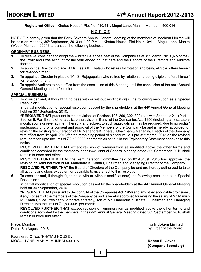**Registered Office:** "Khatau House", Plot No. 410/411, Mogul Lane, Mahim, Mumbai – 400 016.

## **N O T I C E**

NOTICE is hereby given that the Forty-Seventh Annual General Meeting of the members of Indokem Limited will be held on Monday, 30<sup>th</sup> September, 2013 at 4.00 P.M. at Khatau House, Plot No. 410/411, Mogul Lane, Mahim (West), Mumbai-400016 to transact the following business:

#### **ORDINARY BUSINESS:**

- **1.** To receive, consider and adopt the Audited Balance Sheet of the Company as at 31st March, 2013 (6 Months), the Profit and Loss Account for the year ended on that date and the Reports of the Directors and Auditors thereon.
- **2.** To appoint a Director in place of Ms. Leela K. Khatau who retires by rotation and being eligible, offers herself for re-appointment.
- **3.** To appoint a Director in place of Mr. S. Rajagopalan who retires by rotation and being eligible, offers himself for re-appointment.
- **4.** To appoint Auditors to hold office from the conclusion of this Meeting until the conclusion of the next Annual General Meeting and to fix their remuneration.

#### **SPECIAL BUSINESS:**

**5**. To consider and, if thought fit, to pass with or without modification(s) the following resolution as a Special Resolution :

In partial modification of special resolution passed by the shareholders at the 44<sup>th</sup> Annual General Meeting held on 30<sup>th</sup> September, 2010.

**"RESOLVED THAT** pursuant to the provisions of Sections 198, 269, 302, 309 read with Schedule XIII (Part II, Section II, Part B) and other applicable provisions, if any, of the Companies Act, 1956 (including any statutory modifications or re-enactment thereof), and subject to such approvals as may be required, due to no profits/ inadequacy of profits consent and approval of the Members of the Company be and is hereby accorded for revising the existing remuneration of Mr. Mahendra K. Khatau, Chairman & Managing Director of the Company with effect from 1<sup>st</sup> April, 2013 for the remaining period of his tenure i.e. upto 31<sup>st</sup> March, 2015 on the revised remuneration upto the limit of  $\bar{\tau}$  2,50,000/- per month as set out in the Explanatory Statement annexed to this notice.

**RESOLVED FURTHER THAT** except revision of remuneration as modified above the other terms and conditions accorded by the members in their 44<sup>th</sup> Annual General Meeting dated 30<sup>th</sup> September, 2010 shall remain in force and effect.

**RESOLVED FURTHER THAT** the Remuneration Committee held on 8<sup>th</sup> August, 2013 has approved the revision of Remuneration of Mr. Mahendra K. Khatau, Chairman and Managing Director of the Company.

**RESOLVED FURTHER THAT** the Board of Directors of the Company be and are hereby authorized to take all actions and steps expedient or desirable to give effect to this resolution".

**6**. To consider and, if thought fit, to pass with or without modification(s) the following resolution as a Special Resolution :

In partial modification of special resolution passed by the shareholders at the 44<sup>th</sup> Annual General Meeting held on 30<sup>th</sup> September, 2010.

**"RESOLVED THAT** pursuant to Section 314 of the Companies Act, 1956 and any other applicable provisions, if any, consent of the members of the Company be and is hereby approved for revising the salary of Mr. Manish M. Khatau, Vice President-Corporate Strategy, son of Mr. Mahendra K. Khatau, Chairman and Managing Director upto the limit of  $\bar{\tau}$  1,50,000/- per month.

**RESOLVED FURTHER THAT** except revision of remuneration as modified above the other terms and conditions accorded by the members in their  $44<sup>th</sup>$  Annual General Meeting dated  $30<sup>th</sup>$  September, 2010 shall remain in force and effect".

 by Order of the Board Date: 8th August, 2013Place: Mumbai

Registered Office: "KHATAU HOUSE", MOGUL LANE, MAHIM, MUMBAI 400 016 **Rohan R. Gavas** 

For **Indokem Limited**

**(Company Secretary)**

**1**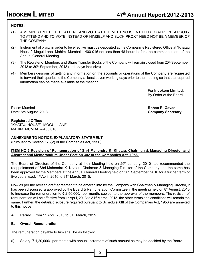## **NOTES:**

- (1) A MEMBER ENTITLED TO ATTEND AND VOTE AT THE MEETING IS ENTITLED TO APPOINT A PROXY TO ATTEND AND TO VOTE INSTEAD OF HIMSELF AND SUCH PROXY NEED NOT BE A MEMBER OF THE COMPANY.
- (2) Instrument of proxy in order to be effective must be deposited at the Company's Registered Office at "Khatau House", Mogul Lane, Mahim, Mumbai – 400 016 not less than 48 hours before the commencement of the Annual General Meeting.
- (3) The Register of Members and Share Transfer Books of the Company will remain closed from 20<sup>th</sup> September, 2013 to 30<sup>th</sup> September, 2013 (both days inclusive).
- (4) Members desirous of getting any information on the accounts or operations of the Company are requested to forward their queries to the Company at least seven working days prior to the meeting so that the required information can be made available at the meeting.

 For **Indokem Limited.** By Order of the Board

Place: Mumbai **Rohan R. Gavas** Date: 8th August, 2013 **Company Secretary**

#### **Registered Office:**

"KHATAU HOUSE", MOGUL LANE, MAHIM, MUMBAI – 400 016.

#### **ANNEXURE TO NOTICE, EXPLANATORY STATEMENT**

(Pursuant to Section 173(2) of the Companies Act, 1956)

#### **ITEM NO.5 Revision of Remuneration of Shri Mahendra K. Khatau, Chairman & Managing Director and Abstract and Memorandum Under Section 302 of the Companies Act, 1956.**

The Board of Directors of the Company at their Meeting held on 29<sup>th</sup> January, 2010 had recommended the reappointment of Shri Mahendra K. Khatau, Chairman & Managing Director of the Company and the same has been approved by the Members at the Annual General Meeting held on 30<sup>th</sup> September, 2010 for a further term of five years w.e.f. 1st April, 2010 to 31st March, 2015.

Now as per the revised draft agreement to be entered into by the Company with Chairman & Managing Director, it has been discussed & approved by the Board & Remuneration Committee in the meeting held on 8<sup>th</sup> August, 2013 to increase the remuneration to  $\bar{\tau}$  2,50,000/- per month, subject to the approval of the members. The revision of remuneration will be effective from 1st April, 2013 to 31st March, 2015, the other terms and conditions will remain the same. Further, the details/disclosure required pursuant to Schedule XIII of the Companies Act, 1956 are annexed to this notice.

**A. Period:** From 1st April, 2013 to 31st March, 2015.

#### **B. Overall Remuneration:**

The remuneration payable to him shall be as follows:

(i) Salary:  $\bar{\tau}$  1,20,000/- per month with annual increment of such amount as may be decided by the Board.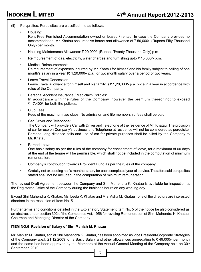- (ii) Perquisites: Perquisites are classified into as follows:
	- **•** Housing: Rent Free Furnished Accommodation owned or leased / rented. In case the Company provides no accommodation, Mr. Khatau shall receive house rent allowance of  $\bar{\tau}$  50,000/- (Rupees Fifty Thousand Only) per month.
	- Housing Maintenance Allowance: ` 20,000/- (Rupees Twenty Thousand Only) p.m.
	- Reimbursement of gas, electricity, water charges and furnishing upto  $\bar{\tau}$  15,000/- p.m.
	- Medical Reimbursement: Reimbursement of expenses incurred by Mr. Khatau for himself and his family subject to ceiling of one month's salary in a year ( $\bar{\tau}$  1,20,000/- p.a.) or two month salary over a period of two years.
	- **•** Leave Travel Concession: Leave Travel Allowance for himself and his family is  $\bar{\tau}$  1,20,000/- p.a. once in a year in accordance with rules of the Company.
	- **•** Personal Accident Insurance / Mediclaim Policies: In accordance with the rules of the Company, however the premium thereof not to exceed ₹ 17,400/- for both the policies.
	- **•** Club Fees: Fees of the maximum two clubs. No admission and life membership fees shall be paid.
	- **•** Car, Driver and Telephone: The Company will provide a Car with Driver and Telephone at the residence of Mr. Khatau. The provision of car for use on Company's business and Telephone at residence will not be considered as perquisite. Personal long distance calls and use of car for private purposes shall be billed by the Company to Mr. Khatau.
	- **•** Earned Leave:

One basic salary as per the rules of the company for encashment of leave, for a maximum of 60 days at the end of the tenure will be permissible, which shall not be included in the computation of minimum remuneration.

- Company's contribution towards Provident Fund as per the rules of the company.
- Gratuity not exceeding half a month's salary for each completed year of service. The aforesaid perquisites stated shall not be included in the computation of minimum remuneration.

The revised Draft Agreement between the Company and Shri Mahendra K. Khatau is available for inspection at the Registered Office of the Company during the business hours on any working day.

Except Shri Mahendra K. Khatau, Ms. Leela K. Khatau and Mrs. Asha M. Khatau none of the directors are interested directors in the resolution of Item No. 5.

Further terms and conditions detailed in the Explanatory Statement Item No. 5 of the notice be also considered as an abstract under section 302 of the Companies Act, 1956 for revising Remuneration of Shri. Mahendra K. Khatau, Chairman and Managing Director of the Company.

#### **ITEM NO.6 Revision of Salary of Shri Manish M. Khatau**

Mr. Manish M. Khatau, son of Shri Mahendra K. Khatau, has been appointed as Vice President-Corporate Strategies of the Company w.e.f. 21.12.2009, on a Basic Salary and other allowances aggregating to  $\bar{\tau}$  49,000/- per month and the same has been approved by the Members at the Annual General Meeting of the Company held on  $30<sup>th</sup>$ September, 2010.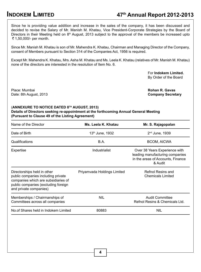# **INDOKEM LIMITED 47th Annual Report 2012-2013**

Since he is providing value addition and increase in the sales of the company, it has been discussed and decided to revise the Salary of Mr. Manish M. Khatau, Vice President-Corporate Strategies by the Board of Directors in their Meeting held on 8<sup>th</sup> August, 2013 subject to the approval of the members be increased upto ₹ 1,50,000/- per month.

Since Mr. Manish M. Khatau is son of Mr. Mahendra K. Khatau, Chairman and Managing Director of the Company, consent of Members pursuant to Section 314 of the Companies Act, 1956 is required.

Except Mr. Mahendra K. Khatau, Mrs. Asha M. Khatau and Ms. Leela K. Khatau (relatives of Mr. Manish M. Khatau) none of the directors are interested in the resolution of Item No. 6.

> For **Indokem Limited.** By Order of the Board

Place: Mumbai **Rohan R. Gavas** Date: 8th August, 2013 **Company Secretary**

#### (**ANNEXURE TO NOTICE DATED 8TH AUGUST, 2013) Details of Directors seeking re-appointment at the forthcoming Annual General Meeting (Pursuant to Clause 49 of the Listing Agreement)**

| Name of the Director                                                                                                                                                      | Ms. Leela K. Khatau         | Mr. S. Rajagopalan                                                                                               |
|---------------------------------------------------------------------------------------------------------------------------------------------------------------------------|-----------------------------|------------------------------------------------------------------------------------------------------------------|
| Date of Birth                                                                                                                                                             | 13th June, 1932             | $2nd$ June, 1939                                                                                                 |
| Qualifications                                                                                                                                                            | B.A.                        | <b>BCOM, AICWA</b>                                                                                               |
| Expertise                                                                                                                                                                 | Industrialist               | Over 38 Years Experience with<br>leading manufacturing companies<br>in the areas of Accounts, Finance<br>& Audit |
| Directorships held in other<br>public companies including private<br>companies which are subsidiaries of<br>public companies (excluding foreign<br>and private companies) | Priyamvada Holdings Limited | Refnol Resins and<br><b>Chemicals Limited</b>                                                                    |
| Memberships / Chairmanships of<br>Committees across all companies                                                                                                         | <b>NIL</b>                  | <b>Audit Committee</b><br>Refnol Resins & Chemicals Ltd.                                                         |
| No.of Shares held in Indokem Limited                                                                                                                                      | 80883                       | NIL                                                                                                              |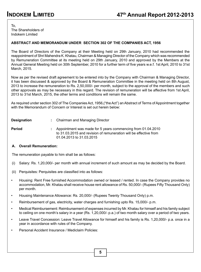To, The Shareholders of Indokem Limited

#### **ABSTRACT AND MEMORANDUM UNDER SECTION 302 OF THE COMPANIES ACT, 1956**

The Board of Directors of the Company at their Meeting held on 29th January, 2010 had recommended the reappointment of Shri Mahendra K. Khatau, Chairman & Managing Director of the Company which was recommended by Remuneration Committee at its meeting held on 29th January, 2010 and approved by the Members at the Annual General Meeting held on 30th September, 2010 for a further term of five years w.e.f. 1st April, 2010 to 31st March, 2015.

Now as per the revised draft agreement to be entered into by the Company with Chairman & Managing Director, it has been discussed & approved by the Board & Remuneration Committee in the meeting held on 8th August, 2013 to increase the remuneration to Rs. 2,50,000/- per month, subject to the approval of the members and such other approvals as may be necessary in this regard. The revision of remuneration will be affective from 1st April, 2013 to 31st March, 2015, the other terms and conditions will remain the same.

As required under section 302 of The Companies Act, 1956,("the Act") an Abstract of Terms of Appointment together with the Memorandum of Concern or Interest is set out herein below:

| <b>Designation</b> | Chairman and Managing Director |  |  |
|--------------------|--------------------------------|--|--|
|                    |                                |  |  |

**Period :** Appointment was made for 5 years commencing from 01.04.2010 to 31.03.2015 and revision of remuneration will be effective from 01.04.2013 to 31.03.2015

#### **A. Overall Remuneration:**

The remuneration payable to him shall be as follows:

- (i) Salary: Rs. 1,20,000/- per month with annual increment of such amount as may be decided by the Board.
- (ii) Perquisites: Perquisites are classified into as follows:
- Housing: Rent Free furnished Accommodation owned or leased / rented. In case the Company provides no accommodation, Mr. Khatau shall receive house rent allowance of Rs. 50,000/- (Rupees Fifty Thousand Only) per month.
- Housing Maintenance Allowance: Rs. 20,000/- (Rupees Twenty Thousand Only) p.m.
- Reimbursement of gas, electricity, water charges and furnishing upto Rs. 15,000/- p.m.
- Medical Reimbursement: Reimbursement of expenses incurred by Mr. Khatau for himself and his family subject to ceiling on one month's salary in a year (Rs. 1,20,000/- p.a.) of two month salary over a period of two years.
- Leave Travel Concession: Leave Travel Allowance for himself and his family is Rs. 1,20,000/- p.a. once in a year in accordance with rules of the Company.
- Personal Accident Insurance / Mediclaim Policies: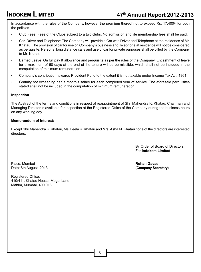In accordance with the rules of the Company, however the premium thereof not to exceed Rs. 17,400/- for both the policies.

- Club Fees: Fees of the Clubs subject to a two clubs. No admission and life membership fees shall be paid.
- Car, Driver and Telephone: The Company will provide a Car with Driver and Telephone at the residence of Mr. Khatau. The provision of car for use on Company's business and Telephone at residence will not be considered as perquisite. Personal long distance calls and use of car for private purposes shall be billed by the Company to Mr. Khatau.
- Earned Leave: On full pay & allowance and perquisite as per the rules of the Company. Encashment of leave for a maximum of 60 days at the end of the tenure will be permissible, which shall not be included in the computation of minimum remuneration.
- Company's contribution towards Provident Fund to the extent it is not taxable under Income Tax Act, 1961.
- Gratuity not exceeding half a month's salary for each completed year of service. The aforesaid perquisites stated shall not be included in the computation of minimum remuneration.

#### **Inspection**

The Abstract of the terms and conditions in respect of reappointment of Shri Mahendra K. Khatau, Chairman and Managing Director is available for inspection at the Registered Office of the Company during the business hours on any working day.

#### **Memorandum of Interest:**

Except Shri Mahendra K. Khatau, Ms. Leela K. Khatau and Mrs. Asha M. Khatau none of the directors are interested directors.

> By Order of Board of Directors For **Indokem Limited**

Place: Mumbai **Rohan Gavas**<br>
Date: 8th August, 2013 **Rohan Gavas** (Company Secretary) Date: 8th August, 2013

Registered Office: 410/411, Khatau House, Mogul Lane, Mahim, Mumbai, 400 016.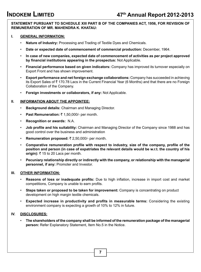#### **STATEMENT PURSUANT TO SCHEDULE XIII PART B OF THE COMPANIES ACT, 1956, FOR REVISION OF REMUNERATION OF MR. MAHENDRA K. KHATAU:**

#### **I. GENERAL INFORMATION:**

- **Nature of Industry:** Processing and Trading of Textile Dyes and Chemicals.
- **Date or expected date of commencement of commercial production:** December, 1964.
- **In case of new companies, expected date of commencement of activities as per project approved by financial institutions appearing in the prospectus:** Not Applicable.
- **Financial performance based on given indicators:** Company has improved its turnover especially on Export Front and has shown improvement.
- **Export performance and net foreign exchange collaborations:** Company has succeeded in achieving its Export Sales of  $\bar{\tau}$  170.78 Lacs in the Current Financial Year (6 Months) and that there are no Foreign Collaboration of the Company.
- **Foreign investments or collaborators, if any:** Not Applicable.

#### **II. INFORMATION ABOUT THE APPOINTEE:**

- **Background details:** Chairman and Managing Director.
- **Past Remuneration:** ₹1,50,000/- per month.
- **Recognition or awards:** N.A.
- **Job profile and his suitability:** Chairman and Managing Director of the Company since 1988 and has good control over the business and administration
- **Remuneration proposed: ₹2,50,000/- per month.**
- **Comparative remuneration profile with respect to industry, size of the company, profile of the position and person (in case of expatriates the relevant details would be w.r.t. the country of his origin):**  $\bar{\tau}$  15 to 20 Lacs per month.
- **Pecuniary relationship directly or indirectly with the company, or relationship with the managerial personnel, if any:** Promoter and Investor.

#### **III. OTHER INFORMATION:**

- **Reasons of loss or inadequate profits:** Due to high inflation, increase in import cost and market competitions, Company is unable to earn profits.
- **Steps taken or proposed to be taken for improvement:** Company is concentrating on product development on high margin textile chemicals.
- **Expected increase in productivity and profits in measurable terms:** Considering the existing environment company is expecting a growth of 10% to 12% in future.

#### **IV. DISCLOSURES:**

• **The shareholders of the company shall be informed of the remuneration package of the managerial person:** Refer Explanatory Statement, Item No.5 in the Notice.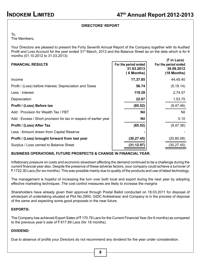## **DIRECTORS' REPORT**

To,

The Members,

Your Directors are pleased to present the Forty Seventh Annual Report of the Company together with its Audited Profit and Loss Account for the year ended 31<sup>st</sup> March, 2013 and the Balance Sheet as on the date which is for 6 months (01.10.2012 to 31.03.2013):

| <b>FINANCIAL RESULTS</b>                                         | For the period ended<br>31.03.2013<br>(6 Months) | $(5 \in \mathsf{In} \text{ Lacs})$<br>For the period ended<br>30.09.2012<br>$(18$ Months) |
|------------------------------------------------------------------|--------------------------------------------------|-------------------------------------------------------------------------------------------|
| Income                                                           | 17,37.85                                         | 44,45.40                                                                                  |
| Profit / (Loss) before Interest, Depreciation and Taxes          | 56.74                                            | (5, 19.14)                                                                                |
| Less : Interest                                                  | 119.29                                           | 2,74.57                                                                                   |
| Depreciation                                                     | 22.97                                            | 1,53.75                                                                                   |
| Profit / (Loss) Before tax                                       | (85.52)                                          | (9, 47.46)                                                                                |
| Add: Provision for Wealth Tax / FBT                              | <b>Nil</b>                                       | Nil                                                                                       |
| Add: Excess / Short provision for tax in respect of earlier year | <b>Nil</b>                                       | 0.10                                                                                      |
| Profit / (Loss) After Tax                                        | (85.52)                                          | (9, 47.36)                                                                                |
| Less: Amount drawn from Capital Reserve                          |                                                  |                                                                                           |
| Profit / (Loss) brought forward from last year                   | (30, 27.45)                                      | (20,80.09)                                                                                |
| Surplus / Loss carried to Balance Sheet                          | (31, 12.97)                                      | (30, 27.45)                                                                               |

#### **BUSINESS OPERATIONS, FUTURE PROSPECTS & CHANGE IN FINANCIAL YEAR.**

Inflationary pressure on costs and economic slowdown affecting the demand continued to be a challenge during the current financial year also. Despite the presence of these adverse factors, your company could achieve a turnover of ` 1722.30 Lacs (for six months). This was possible mainly due to quality of the products and use of latest technology.

The management is hopeful of increasing the turn over both local and export during the next year by adopting effective marketing techniques .The cost control measures are likely to increase the margins

Shareholders have already given their approval through Postal Ballot conducted on 18.03.2011 for disposal of whole/part of undertaking situated at Plot No.2900, GIDC Ankleshwar and Company is in the process of disposal of the same and expecting some good proposals in the near future.

#### **EXPORTS:**

The Company has achieved Export Sales of ₹170.78 Lacs for the Current Financial Year (for 6 months) as compared to the previous year's sale of  $\bar{\tau}$  817.89 Lacs (for 18 months).

#### **DIVIDEND:**

Due to absence of profits your Directors do not recommend any dividend for the year under consideration.

**8**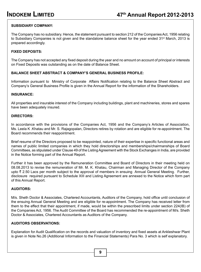## **SUBSIDIARY COMPANY:**

The Company has no subsidiary. Hence, the statement pursuant to section 212 of the Companies Act, 1956 relating to Subsidiary Companies is not given and the standalone balance sheet for the year ended 31<sup>st</sup> March, 2013 is prepared accordingly.

#### **FIXED DEPOSITS:**

The Company has not accepted any fixed deposit during the year and no amount on account of principal or interests on Fixed Deposits was outstanding as on the date of Balance Sheet.

## **BALANCE SHEET ABSTRACT & COMPANY'S GENERAL BUSINESS PROFILE:**

Information pursuant to Ministry of Corporate Affairs Notification relating to the Balance Sheet Abstract and Company's General Business Profile is given in the Annual Report for the information of the Shareholders.

#### **INSURANCE:**

All properties and insurable interest of the Company including buildings, plant and machineries, stores and spares have been adequately insured.

#### **DIRECTORS:**

In accordance with the provisions of the Companies Act, 1956 and the Company's Articles of Association, Ms. Leela K .Khatau and Mr. S. Rajagopalan, Directors retires by rotation and are eligible for re-appointment. The Board recommends their reappointment.

Brief resume of the Directors proposed to be reappointed, nature of their expertise in specific functional areas and names of public limited companies in which they hold directorships and memberships/chairmanships of Board Committees, as stipulated under Clause 49 of the Listing Agreement with the Stock Exchanges in India, are provided in the Notice forming part of the Annual Report.

Further it has been approved by the Remuneration Committee and Board of Directors in their meeting held on 08.08.2013 to revise the remuneration of Mr. M. K. Khatau, Chairman and Managing Director of the Company upto ₹ 2.50 Lacs per month subject to the approval of members in ensuing Annual General Meeting. Further, disclosure required pursuant to Schedule XIII and Listing Agreement are annexed to the Notice which form part of this Annual Report.

#### **AUDITORS:**

M/s. Sheth Doctor & Associates, Chartered Accountants, Auditors of the Company, hold office until conclusion of the ensuing Annual General Meeting and are eligible for re-appointment. The Company has received letter from them to the effect that their appointment, if made, would be within the prescribed limits under section 224(IB) of the Companies Act, 1956. The Audit Committee of the Board has recommended the re-appointment of M/s. Sheth Doctor & Associates, Chartered Accountants as Auditors of the Company.

#### **AUDITORS OBSERVATIONS:**

Explanation for Audit Qualification on the records and valuation of inventory and fixed assets at Ankleshwar Plant is given in Note No.26 (Additional Information to the Financial Statements) Para No. 3 which is self explanatory.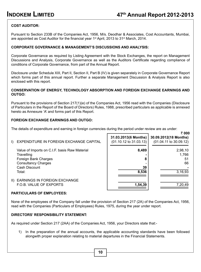` **000**

## **COST AUDITOR:**

Pursuant to Section 233B of the Companies Act, 1956, M/s. Deodhar & Associates, Cost Accountants, Mumbai, are appointed as Cost Auditor for the financial year 1<sup>st</sup> April, 2013 to 31<sup>st</sup> March, 2014.

#### **CORPORATE GOVERNANCE & MANAGEMENT'S DISCUSSIONS AND ANALYSIS:**

Corporate Governance as required by Listing Agreement with the Stock Exchanges, the report on Management Discussions and Analysis, Corporate Governance as well as the Auditors Certificate regarding compliance of conditions of Corporate Governance, from part of the Annual Report.

Disclosure under Schedule XIII, Part II, Section II, Part B (IV) is given separately in Corporate Governance Report which forms part of this annual report. Further a separate Management Discussion & Analysis Report is also enclosed with this report.

#### **CONSERVATION OF ENERGY, TECHNOLOGY ABSORPTION AND FOREIGN EXCHANGE EARNINGS AND OUTGO:**

Pursuant to the provisions of Section 217(1)(e) of the Companies Act, 1956 read with the Companies (Disclosure of Particulars in the Report of the Board of Directors) Rules, 1988, prescribed particulars as applicable is annexed hereto as Annexure 'A' and forms part of this Report.

г

#### **FOREIGN EXCHANGE EARNINGS AND OUTGO:**

The details of expenditure and earning in foreign currencies during the period under review are as under:

| $\mathbf{D}$  | EXPENDITURE IN FOREIGN EXCHANGE CAPITAL                        | 31.03.2013(6 Months)<br>$(01.10.12 \text{ to } 31.03.13)$ | 30.09.2012(18 Months)<br>$(01.04.11 \text{ to } 30.09.12)$ |
|---------------|----------------------------------------------------------------|-----------------------------------------------------------|------------------------------------------------------------|
|               | Value of Imports on C.I.F. basis Raw Material<br>Travelling    | 8,489                                                     | 2,98,10<br>1,766                                           |
|               | Foreign Bank Charges<br><b>Consultancy Charges</b>             | 8                                                         | 51<br>66                                                   |
|               | Cash Discount<br>Total:                                        | 39<br>8,536                                               | 3,16,93                                                    |
| $\parallel$ ) | <b>EARNINGS IN FOREIGN EXCHANGE</b><br>F.O.B. VALUE OF EXPORTS | 1,54,39                                                   | 7,20,49                                                    |

#### **PARTICULARS OF EMPLOYEES:**

None of the employees of the Company fall under the provision of Section 217 (2A) of the Companies Act, 1956, read with the Companies (Particulars of Employees) Rules, 1975, during the year under report.

#### **DIRECTORS' RESPONSIBILITY STATEMENT:**

As required under Section 217 (2AA) of the Companies Act, 1956, your Directors state that:-

1) In the preparation of the annual accounts, the applicable accounting standards have been followed alongwith proper explanation relating to material departures in the Financial Statements.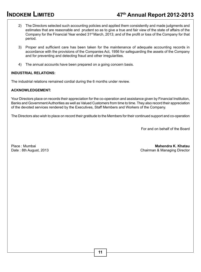# **INDOKEM LIMITED 47th Annual Report 2012-2013**

- 2) The Directors selected such accounting policies and applied them consistently and made judgments and estimates that are reasonable and prudent so as to give a true and fair view of the state of affairs of the Company for the Financial Year ended 31st March, 2013; and of the profit or loss of the Company for that period.
- 3) Proper and sufficient care has been taken for the maintenance of adequate accounting records in accordance with the provisions of the Companies Act, 1956 for safeguarding the assets of the Company and for preventing and detecting fraud and other irregularities.
- 4) The annual accounts have been prepared on a going concern basis.

#### **INDUSTRIAL RELATIONS:**

The industrial relations remained cordial during the 6 months under review.

#### **ACKNOWLEDGEMENT:**

Your Directors place on records their appreciation for the co-operation and assistance given by Financial Institution, Banks and Government Authorities as well as Valued Customers from time to time. They also record their appreciation of the devoted services rendered by the Executives, Staff Members and Workers of the Company.

The Directors also wish to place on record their gratitude to the Members for their continued support and co-operation

For and on behalf of the Board

Place : Mumbai **Mahendra K. Khatau**  Date : 8th August, 2013 Chairman & Managing Director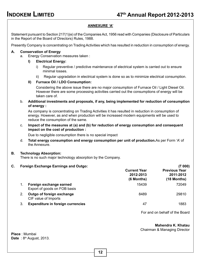#### **ANNEXURE 'A'**

Statement pursuant to Section 217(1)(e) of the Companies Act, 1956 read with Companies (Disclosure of Particulars in the Report of the Board of Directors) Rules, 1988.

Presently Company is concentrating on Trading Activities which has resulted in reduction in consumption of energy.

#### **A. Conservation of Energy**

a. Energy Conservation measures taken :

#### **I) Electrical Energy:**

- i) Regular preventive / predictive maintenance of electrical system is carried out to ensure minimal losses.
- ii) Regular upgradation in electrical system is done so as to minimize electrical consumption.

#### **II) Furnace Oil / LDO Consumption:**

Considering the above issue there are no major consumption of Furnace Oil / Light Diesel Oil. However there are some processing activities carried out the consumptions of energy will be taken care of.

b. **Additional investments and proposals, if any, being implemented for reduction of consumption of energy :**

 As company is concentrating on Trading Activities it has resulted in reduction in consumption of energy. However, as and when production will be increased modern equipments will be used to reduce the consumption of the same.

c. **Impact of the measures at (a) and (b) for reduction of energy consumption and consequent impact on the cost of production :**

Due to negligible consumption there is no special impact

d. **Total energy consumption and energy consumption per unit of production.**As per Form 'A' of the Annexure.

#### **B. Technology Absorption:**

There is no such major technology absorption by the Company.

## **C. Foreign Exchange Earnings and Outgo: (**` **000)**

| v. |    | i vielgii Exchange Lamings and Outgo.                   |                                                | $\sim$ vvv $\prime$                                |
|----|----|---------------------------------------------------------|------------------------------------------------|----------------------------------------------------|
|    |    |                                                         | <b>Current Year</b><br>2012-2013<br>(6 Months) | <b>Previous Year</b><br>2011-2012<br>$(18$ Months) |
|    | 1. | Foreign exchange earned<br>Export of goods on FOB basis | 15439                                          | 72049                                              |
|    | 2. | Outgo of foreign exchange<br>CIF value of Imports       | 8489                                           | 29810                                              |
|    | 3. | <b>Expenditure in foreign currencies</b>                | 47                                             | 1883                                               |
|    |    |                                                         |                                                |                                                    |

For and on behalf of the Board

 **Mahendra K. Khatau**

Chairman & Managing Director

**Place** : Mumbai **Date** : 8<sup>th</sup> August, 2013.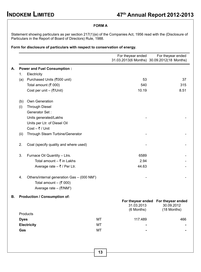### **FORM A**

Statement showing particulars as per section 217(1)(e) of the Companies Act, 1956 read with the (Disclosure of Particulars in the Report of Board of Directors) Rule, 1988.

## **Form for disclosure of particulars with respect to conservation of energy.**

|             |                                                         |    | For theyear ended        | For theyear ended<br>31.03.2013(6 Months) 30.09.2012(18 Months)  |
|-------------|---------------------------------------------------------|----|--------------------------|------------------------------------------------------------------|
|             | <b>Power and Fuel Consumption:</b>                      |    |                          |                                                                  |
| 1.          | Electricity                                             |    |                          |                                                                  |
| (a)         | Purchased Units (₹000 unit)                             |    | 53                       | 37                                                               |
|             | Total amount (₹ 000)                                    |    | 540                      | 315                                                              |
|             | Cost per unit - (₹/Unit)                                |    | 10.19                    | 8.51                                                             |
| (b)         | Own Generation                                          |    |                          |                                                                  |
| (i)         | <b>Through Diesel</b>                                   |    |                          |                                                                  |
|             | Generator Set:                                          |    |                          |                                                                  |
|             | Units generated/Lakhs                                   |    |                          |                                                                  |
|             | Units per Ltr. of Diesel Oil                            |    |                          |                                                                  |
|             | $Cost - ₹ / Unit$                                       |    |                          |                                                                  |
| (ii)        | Through Steam Turbine/Generator                         |    |                          |                                                                  |
| 2.          | Coal (specify quality and where used)                   |    |                          |                                                                  |
| 3.          | Furnace Oil Quantity - Ltrs.                            |    | 6589                     |                                                                  |
|             | Total amount $-$ ₹ in Lakhs                             |    | 2.94                     |                                                                  |
|             | Average rate $-$ ₹ / Per Ltr.                           |    | 44.63                    |                                                                  |
| 4.          | Others/internal generation Gas - (000 NM <sup>3</sup> ) |    |                          |                                                                  |
|             | Total amount - $(300)$                                  |    |                          |                                                                  |
|             | Average rate – (₹/NM <sup>3</sup> )                     |    |                          |                                                                  |
|             | <b>Production / Consumption of:</b>                     |    |                          |                                                                  |
|             |                                                         |    | 31.03.2013<br>(6 Months) | For theyear ended For theyear ended<br>30.09.2012<br>(18 Months) |
|             | Products                                                |    |                          |                                                                  |
| <b>Dyes</b> |                                                         | MT | 117.489                  | 466                                                              |
|             | <b>Electricity</b>                                      | MT |                          |                                                                  |
| Gas         |                                                         | МT |                          |                                                                  |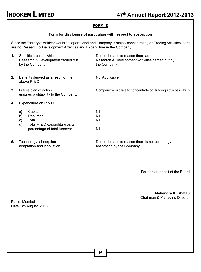## **FORM B**

#### **Form for disclosure of particulars with respect to absorption**

Since the Factory at Ankleshwar is not operational and Company is mainly concentrating on Trading Activities there are no Research & Development Activities and Expenditure in the Company.

| 1. |                      | Specific areas in which the<br>Research & Development carried out<br>by the Company           | Due to the above reason there are no<br>Research & Development Activities carried out by<br>the Company |
|----|----------------------|-----------------------------------------------------------------------------------------------|---------------------------------------------------------------------------------------------------------|
| 2. |                      | Benefits derived as a result of the<br>above R & D                                            | Not Applicable.                                                                                         |
| 3. |                      | Future plan of action<br>ensures profitability to the Company.                                | Company would like to concentrate on Trading Activities which                                           |
| 4. |                      | Expenditure on R & D                                                                          |                                                                                                         |
|    | a)<br>b)<br>C)<br>d) | Capital<br>Recurring<br>Total<br>Total R & D expenditure as a<br>percentage of total turnover | Nil<br>Nil<br>Nil<br>Nil                                                                                |
| 5. |                      | Technology absorption,<br>adaptation and innovation                                           | Due to the above reason there is no technology<br>absorption by the Company.                            |

For and on behalf of the Board

#### **Mahendra K. Khatau** Chairman & Managing Director

Place: Mumbai Date: 8th August, 2013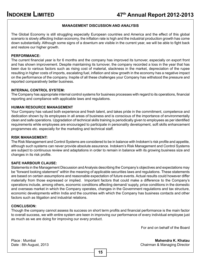#### **MANAGEMENT DISCUSSION AND ANALYSIS**

The Global Economy is still struggling especially European countries and America and the effect of this global scenario is slowly affecting Indian economy, the inflation rate is high and the industrial production growth has come down substantially. Although some signs of a downturn are visible in the current year, we will be able to fight back and restore our higher growth.

#### **PERFORMANCE:**

The current financial year is for 6 months and the company has improved its turnover, especially on export front and has shown improvement. Despite maintaining its turnover, the company recorded a loss in the year that has been due to various factors such as rising cost of material, slackness in the market, depreciation of the rupee resulting in higher costs of imports, escalating fuel, inflation and slow growth in the economy has a negative impact on the performance of the company. Inspite of all these challenges your Company has withstood the pressure and reported comparatively better business.

#### **Internal Control System:**

The Company has appropriate internal control systems for business processes with regard to its operations, financial reporting and compliance with applicable laws and regulations.

#### **HUMAN RESOURCE MANAGEMENT**

Your Company has valued both experience and fresh talent, and takes pride in the commitment, competence and dedication shown by its employees in all areas of business and is conscious of the importance of environmentally clean and safe operations. Upgradation of technical skills training is periodically given to employees as per identified requirements while employees are encouraged to participate in personality development, soft skills enhancement programmes etc. especially for the marketing and technical staff.

#### **RISK MANAGEMENT:**

The Risk Management and Control Systems are considered to be in balance with Indokem's risk profile and appetite, although such systems can never provide absolute assurance. Indokem's Risk Management and Control Systems are subject to continuous review and adaptations in order to remain in balance with its growing business size and changes in its risk profile.

#### **safe harbour clause:**

Statements in the Management Discussion and Analysis describing the Company's objectives and expectations may be "forward looking statement" within the meaning of applicable securities laws and regulations. These statements are based on certain assumptions and reasonable expectation of future events. Actual results could however differ materially from those expressed or implied. Important factors that could make a difference to the Company's operations include, among others, economic conditions affecting demand/ supply, price conditions in the domestic and overseas market in which the Company operates, changes in the Government regulations and tax structure, economic developments within India and the countries with which the Company has business contacts and other factors such as litigation and industrial relations.

#### **CONCLUSION:**

Though the company cannot assess its success on short term profits and financial performance is the main factor to overall success, we with entire system are keen in improving our performance of every individual employee just as much as we are doing for improving our every product.

For and on behalf of the Board

#### Place : Mumbai **Mahendra K. Khatau**  Date : 8th August, 2013 Chairman & Managing Director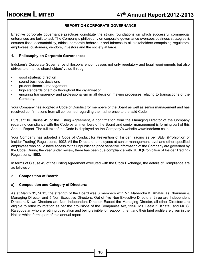## **REPORT ON CORPORATE GOVERNANCE**

Effective corporate governance practices constitute the strong foundations on which successful commercial enterprises are built to last. The Company's philosophy on corporate governance oversees business strategies & ensures fiscal accountability, ethical corporate behaviour and fairness to all stakeholders comprising regulators, employees, customers, vendors, investors and the society at large.

#### **1. Philosophy on Corporate Governance:**

Indokem's Corporate Governance philosophy encompasses not only regulatory and legal requirements but also strives to enhance shareholders' value through :

- good strategic direction
- sound business decisions
- prudent financial management
- high standards of ethics throughout the organisation
- ensuring transparency and professionalism in all decision making processes relating to transactions of the Company.

Your Company has adopted a Code of Conduct for members of the Board as well as senior management and has received confirmations from all concerned regarding their adherence to the said Code.

Pursuant to Clause 49 of the Listing Agreement, a confirmation from the Managing Director of the Company regarding compliance with the Code by all members of the Board and senior management is forming part of this Annual Report. The full text of the Code is displayed on the Company's website www.indokem.co.in.

Your Company has adopted a Code of Conduct for Prevention of Insider Trading as per SEBI (Prohibition of Insider Trading) Regulations, 1992. All the Directors, employees at senior management level and other specified employees who could have access to the unpublished price sensitive information of the Company are governed by the Code. During the year under review, there has been due compliance with SEBI (Prohibition of Insider Trading) Regulations, 1992.

In terms of Clause 49 of the Listing Agreement executed with the Stock Exchange, the details of Compliance are as follows :-

#### **2. Composition of Board:**

#### **a) Composition and Category of Directors:**

As at March 31, 2013, the strength of the Board was 6 members with Mr. Mahendra K. Khatau as Chairman & Managing Director and 5 Non Executive Directors. Out of five Non-Executive Directors, three are Independent Directors & two Directors are Non Independent Director. Except the Managing Director, all other Directors are eligible to retire by rotation as per the provisions of the Companies Act, 1956. Ms. Leela K. Khatau and Mr. S. Rajagopalan who are retiring by rotation and being eligible for reappointment and their brief profile are given in the Notice which forms part of this annual report.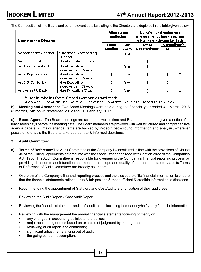The Composition of the Board and other relevant details relating to the Directors are depicted in the table given below:

| Name of the Director   |                                       | Attendance<br>particulars |            | No. of other directorships<br>and committee (memberships<br>other than Indokem Limited) |                   |   |
|------------------------|---------------------------------------|---------------------------|------------|-----------------------------------------------------------------------------------------|-------------------|---|
|                        |                                       | Board                     | Last       | Other                                                                                   | <b>Committee@</b> |   |
|                        |                                       | Meeting                   | <b>AGM</b> | Directorships#                                                                          | м                 | с |
| Mr. Mahendra K. Khatau | Chairman & Managing<br>Director       | 2                         | Yes.       |                                                                                         |                   |   |
| Ms. Leela Khatau       | Non-Executive Director                | 2                         | No.        |                                                                                         |                   |   |
| Mr. Kailash Pershad    | Non-Executive<br>Independent Director | 2                         | Yes        |                                                                                         |                   |   |
| Mr. S. Rajagopalan     | Non-Executive<br>Independent Director |                           | No.        |                                                                                         |                   | 2 |
| Mr. B.G. Sontakke      | Non-Executive<br>Independent Director | 2                         | Yes        |                                                                                         | 2                 |   |
| Mrs. Asha M. Khatau    | Non-Executive Director                | 2                         | Yes        | 3                                                                                       |                   |   |

#Directorships in Private Limited Companies excluded;

@ comprises of Audit and Investors' Grievance Committee of Public Limited Companies;

**b)** Meeting and Attendance: Two Board Meetings were held during the financial year ended 31<sup>st</sup> March, 2013 (6 months), viz. on  $9<sup>th</sup>$  November, 2012 and 11<sup>th</sup> February, 2013.

**c) Board Agenda:**The Board meetings are scheduled well in time and Board members are given a notice of at least seven days before the meeting date. The Board members are provided with well structured and comprehensive agenda papers. All major agenda items are backed by in-depth background information and analysis, wherever possible, to enable the Board to take appropriate & informed decisions.

#### **3. Audit Committee:**

- **a) Terms of Reference:**The Audit Committee of the Company is constituted in line with the provisions of Clause 49 of the Listing Agreements entered into with the Stock Exchanges read with Section 292A of the Companies Act, 1956. The Audit Committee is responsible for overseeing the Company's financial reporting process by providing direction to audit function and monitor the scope and quality of internal and statutory audits.Terms of Reference of Audit Committee are broadly as under:
- Overview of the Company's financial reporting process and the disclosure of its financial information to ensure that the financial statements reflect a true & fair position & that sufficient & credible information is disclosed.
- Recommending the appointment of Statutory and Cost Auditors and fixation of their audit fees.
- Reviewing the Audit Report / Cost Audit Report
- Reviewing the financial statements and draft audit report, including the quarterly/half-yearly financial information.
- Reviewing with the management the annual financial statements focusing primarily on:
	- any changes in accounting policies and practices;
	- major accounting entries based on exercise of judgment by management;
	- reviewing audit report and comments;
	- significant adjustments arising out of audit;
	- the going concern assumption;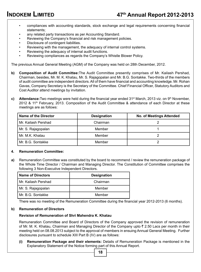- compliances with accounting standards, stock exchange and legal requirements concerning financial statements;
- any related party transactions as per Accounting Standard.
- Reviewing the Company's financial and risk management policies.
- Disclosure of contingent liabilities.
- Reviewing with the management, the adequacy of internal control systems.
- Reviewing the adequacy of internal audit functions.
- Reviewing compliances as regards the Company's Whistle Blower Policy.

The previous Annual General Meeting (AGM) of the Company was held on 28th December, 2012.

- **b) Composition of Audit Committee:**The Audit Committee presently comprises of Mr. Kailash Pershad, Chairman, besides, Mr. M. K. Khatau, Mr. S. Rajagopalan and Mr. B.G. Sontakke. Two-thirds of the members of audit committee are independent directors. All of them have financial and accounting knowledge. Mr. Rohan Gavas, Company Secretary is the Secretary of the Committee. Chief Financial Officer, Statutory Auditors and Cost Auditor attend meetings by invitation.
- **c)** Attendance: Two meetings were held during the financial year ended 31<sup>st</sup> March, 2013 viz. on 9<sup>th</sup> November, 2012 & 11<sup>th</sup> February, 2013. Composition of the Audit Committee & attendance of each Director at these meetings are as follows:

| Name of the Director | <b>Designation</b> | <b>No. of Meetings Attended</b> |
|----------------------|--------------------|---------------------------------|
| Mr. Kailash Pershad  | Chairman           |                                 |
| Mr. S. Rajagopalan   | Member             |                                 |
| Mr. M.K. Khatau      | Member             |                                 |
| Mr. B.G. Sontakke    | Member             |                                 |

#### **4. Remuneration Committee:**

**a)** Remuneration Committee was constituted by the board to recommend / review the remuneration package of the Whole Time Director / Chairman and Managing Director. The Constitution of Committee comprises the following 3 Non-Executive Independent Directors.

| <b>Name of Directors</b> | <b>Designation</b> |
|--------------------------|--------------------|
| Mr. Kailash Pershad      | Chairman           |
| Mr. S. Rajagopalan       | Member             |
| Mr. B.G. Sontakke        | Member             |

There was no meeting of the Remuneration Committee during the financial year 2012-2013 (6 months).

#### **b) Remuneration of Directors**

#### **Revision of Remuneration of Shri Mahendra K. Khatau**

Remuneration Committee and Board of Directors of the Company approved the revision of remuneration of Mr. M. K. Khatau, Chairman and Managing Director of the Company upto  $\bar{\tau}$  2.50 Lacs per month in their meeting held on 08.08.2013 subject to the approval of members in ensuing Annual General Meeting. Further disclosures pursuant to schedule XIII Part B (IV) are as follows:

**(i) Remuneration Package and their elements:** Details of Remuneration Package is mentioned in the Explanatory Statement of the Notice forming part of this Annual Report.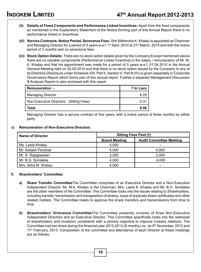- **(ii) Details of Fixed Components and Performance Linked Incentives:** Apart from the fixed components as mentioned in the Explanatory Statement of the Notice forming part of this Annual Report there is no performance linked in Incentives.
- **(iii) Service Contracts, Notice Period, Severance Fees:** Shri Mahendra K. Khatau is appointed as Chairman and Managing Director for a period of 5 years w.e.f. 1<sup>st</sup> April, 2010 to 31<sup>st</sup> March, 2015 and with the notice period of 3 months and no severance fees.
- **(iv) Stock Option Details:** There are no stock option details given by the Company.Except mentioned above there are no variable components (Performance Linked Incentive) in the salary / remuneration of Mr. M. K. Khatau and that his appointment was made for a period of 5 years w.e.f. 01.04.2010 in the Annual General Meeting held on 30.09.2010 and that there is no stock option issued by the Company to any of its Directors.Disclosure under Schedule XIII, Part II, Section II, Part B (IV) is given separately in Corporate Governance Report which forms part of this annual report. Further a separate Management Discussion & Analysis Report is also enclosed with this report

| <b>Remuneration:</b> -                 | ₹ In Lacs |
|----------------------------------------|-----------|
| Managing Director:                     | 8.25      |
| Non Executive Directors (Sitting Fees) | 0.31      |
| Total                                  | 8.56      |

Managing Director has a service contract of five years, with a notice period of three months by either party.

#### **c) Remuneration of Non-Executive Directors**

| <b>Name of Director</b> |                      | Sitting Fees Paid (₹)          |  |  |  |
|-------------------------|----------------------|--------------------------------|--|--|--|
|                         | <b>Board Meeting</b> | <b>Audit Committee Meeting</b> |  |  |  |
| Ms. Leela Khatau        | 4.000                | -                              |  |  |  |
| Mr. Kailash Pershad     | 4.000                | 4.000                          |  |  |  |
| Mr. S. Rajagopalan      | 2.000                | 2.000                          |  |  |  |
| Mr. B.G. Sontakke       | 4,000                | 4.000                          |  |  |  |
| Mrs. Asha M. Khatau     | 4.000                |                                |  |  |  |

#### **5. Shareholders' Committee:**

- **a) Share Transfer Committee**The Committee comprises of an Executive Director and a Non-Executive Independent Director. Mr. M.K. Khatau is the Chairman, Mrs. Leela K. Khatau and Mr. B.G. Sontakke are the other members of the Committee. The Committee looks into the issues relating to Shareholders, including transfer, transmission and transposition of shares, issue of duplicate share certificates and other related matters. The Committee meets to approve the share transfers and transmissions from time to time.
- **b) Shareholders' Grievance Committee**The Committee presently consists of three Non-Executive Independent Directors and an Executive Director. This Committee specifically looks into the redressal of shareholders' and investors' complaints with a primary objective to improve investor relations. The Committee met two times during the financial year 2012-2013 (6 months) viz. on 9th November, 2012 and 11<sup>th</sup> February, 2013. Composition of the committee and attendance of each Director at these meetings are as follows: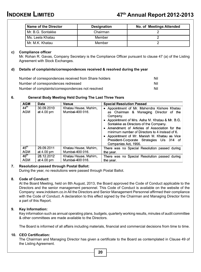| Name of the Director | <b>Designation</b> | No. of Meetings Attended |
|----------------------|--------------------|--------------------------|
| Mr. B.G. Sontakke    | Chairman           |                          |
| Ms. Leela Khatau     | Member             |                          |
| Mr. M.K. Khatau      | Member             |                          |

#### **c) Compliance officer**

Mr. Rohan R. Gavas, Company Secretary is the Compliance Officer pursuant to clause 47 (a) of the Listing Agreement with Stock Exchanges.

#### **d) Details of complaints/correspondences received & resolved during the year**

| Number of correspondences received from Share holders | Nil |
|-------------------------------------------------------|-----|
| Number of correspondences redressed                   | Nil |
| Number of complaints/correspondences not resolved     | Nil |

## **6. General Body Meeting Held During The Last Three Years**

| <b>AGM</b>              | Date                     | Venue                                   | <b>Special Resolution Passed</b>                                                                                                                                                                                                                                                                                                                                                                                     |
|-------------------------|--------------------------|-----------------------------------------|----------------------------------------------------------------------------------------------------------------------------------------------------------------------------------------------------------------------------------------------------------------------------------------------------------------------------------------------------------------------------------------------------------------------|
| 44 <sup>th</sup><br>AGM | 30.09.2010<br>at 4.00 pm | Khatau House, Mahim,<br>Mumbai-400 016. | Appointment of Mr. Mahendra Kishore Khatau<br>as Chairman & Managing Director of the<br>Company.<br>Appointment of Mrs. Asha M. Khatau & Mr. B.G.<br>Sontakke as Directors of the Company.<br>• Amendment of Articles of Association for the<br>minimum number of Directors to 4 instead of 6.<br>• Appointment of Mr. Manish M. Khatau as Vice<br>President-Corporate Strategies U/s 314 of<br>Companies Act, 1956. |
| 45 <sup>th</sup>        | 29.09.2011               | Khatau House, Mahim,                    | There was no Special Resolution passed during                                                                                                                                                                                                                                                                                                                                                                        |
| <b>AGM</b>              | at 4.00 pm               | Mumbai-400 016.                         | the year.                                                                                                                                                                                                                                                                                                                                                                                                            |
| 46 <sup>th</sup><br>AGM | 28.12.2012<br>at 4.00 pm | Khatau House, Mahim.<br>Mumbai-400 016. | There was no Special Resolution passed during<br>the year.                                                                                                                                                                                                                                                                                                                                                           |

#### **7. Resolution passed through Postal Ballot:**

During the year, no resolutions were passed through Postal Ballot.

#### **8. Code of Conduct:**

At the Board Meeting, held on 8th August, 2013, the Board approved the Code of Conduct applicable to the Directors and the senior management personnel. This Code of Conduct is available on the website of the Company: www.indokem.co.in All the Directors and Senior Management Personnel affirmed their compliance with the Code of Conduct. A declaration to this effect signed by the Chairman and Managing Director forms a part of this Report.

#### **9. Key Information:**

Key information such as annual operating plans, budgets, quarterly working results, minutes of audit committee & other committees are made available to the Directors.

The Board is informed of all affairs including materials, financial and commercial decisions from time to time.

#### **10. CEO Certification:**

The Chairman and Managing Director has given a certificate to the Board as contemplated in Clause 49 of the Listing Agreement.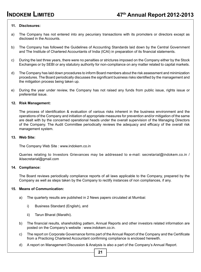#### **11. Disclosures:**

- a) The Company has not entered into any pecuniary transactions with its promoters or directors except as disclosed in the Accounts.
- b) The Company has followed the Guidelines of Accounting Standards laid down by the Central Government and The Institute of Chartered Accountants of India (ICAI) in preparation of its financial statements.
- c) During the last three years, there were no penalties or strictures imposed on the Company either by the Stock Exchanges or by SEBI or any statutory authority for non-compliance on any matter related to capital markets.
- d) The Company has laid down procedures to inform Board members about the risk assessment and minimization procedures. The Board periodically discusses the significant business risks identified by the management and the mitigation process being taken up.
- e) During the year under review, the Company has not raised any funds from public issue, rights issue or preferential issue.

#### **12. Risk Management:**

The process of identification & evaluation of various risks inherent in the business environment and the operations of the Company and initiation of appropriate measures for prevention and/or mitigation of the same are dealt with by the concerned operational heads under the overall supervision of the Managing Directors of the Company. The Audit Committee periodically reviews the adequacy and efficacy of the overall risk management system.

#### **13. Web Site:**

The Company Web Site : www.indokem.co.in

Queries relating to Investors Grievances may be addressed to e-mail: secretarial@indokem.co.in / iklsecretarial@gmail.com

#### **14. Compliance:**

The Board reviews periodically compliance reports of all laws applicable to the Company, prepared by the Company as well as steps taken by the Company to rectify instances of non compliances, if any.

#### **15. Means of Communication:**

- a) The quarterly results are published in 2 News papers circulated at Mumbai:
	- i) Business Standard (English), and
	- ii) Tarun Bharat (Marathi).
- b) The financial results, shareholding pattern, Annual Reports and other investors related information are posted on the Company's website : www.indokem.co.in.
- c) The report on Corporate Governance forms part of the Annual Report of the Company and the Certificate from a Practicing Chartered Accountant confirming compliance is enclosed herewith.
- d) A report on Management Discussion & Analysis is also a part of the Company's Annual Report.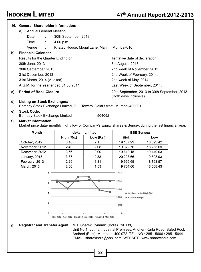|    | 16. General Shareholder Information:                                                                            |                                              |                          |                                              |           |  |
|----|-----------------------------------------------------------------------------------------------------------------|----------------------------------------------|--------------------------|----------------------------------------------|-----------|--|
|    | <b>Annual General Meeting</b><br>a)                                                                             |                                              |                          |                                              |           |  |
|    | Date<br>÷                                                                                                       | 30th September, 2013.                        |                          |                                              |           |  |
|    | Time<br>÷                                                                                                       | 4.00 p.m.                                    |                          |                                              |           |  |
|    | Venue                                                                                                           | Khatau House, Mogul Lane, Mahim, Mumbai-016. |                          |                                              |           |  |
| b) | <b>Financial Calendar</b>                                                                                       |                                              |                          |                                              |           |  |
|    | Results for the Quarter Ending on                                                                               |                                              |                          | Tentative date of declaration.               |           |  |
|    | 30th June, 2013                                                                                                 |                                              |                          | 8th August, 2013.                            |           |  |
|    | 30th September, 2013                                                                                            |                                              |                          | 2nd week of November, 2013.                  |           |  |
|    | 31st December, 2013                                                                                             |                                              |                          | 2nd Week of February, 2014.                  |           |  |
|    | 31st March, 2014 (Audited)                                                                                      |                                              |                          | 2nd week of May, 2014.                       |           |  |
|    | A.G.M. for the Year ended 31.03.2014                                                                            |                                              |                          | Last Week of September, 2014.                |           |  |
|    |                                                                                                                 |                                              |                          |                                              |           |  |
| C) | <b>Period of Book Closure</b>                                                                                   |                                              | ۰                        | 20th September, 2013 to 30th September, 2013 |           |  |
|    |                                                                                                                 |                                              |                          | (Both days inclusive)                        |           |  |
| d) | <b>Listing on Stock Exchanges:</b><br>Bombay Stock Exchange Limited, P. J. Towers, Dalal Street, Mumbai-400001. |                                              |                          |                                              |           |  |
| e) | <b>Stock Code:</b>                                                                                              |                                              |                          |                                              |           |  |
|    | Bombay Stock Exchange Limited                                                                                   |                                              | 504092<br>$\mathbb{R}^n$ |                                              |           |  |
| f) | <b>Market Information:</b>                                                                                      |                                              |                          |                                              |           |  |
|    | Market price data- monthly high / low of Company's Equity shares & Sensex during the last financial year.       |                                              |                          |                                              |           |  |
|    | Month                                                                                                           |                                              | Indokem Limited.         | <b>BSE Sensex</b>                            |           |  |
|    |                                                                                                                 | High (Rs.)                                   | Low (Rs.)                | High                                         | Low       |  |
|    | October, 2012                                                                                                   | 3.18                                         | 2.15                     | 19,137.29                                    | 18,393.42 |  |
|    | November, 2012                                                                                                  | 2.40                                         | 2.08                     | 19,372.70                                    | 18,255.69 |  |
|    | December, 2012                                                                                                  | 3.56                                         | 2.00                     | 19,612.18                                    | 19,149.03 |  |
|    | January, 2013                                                                                                   | 3.57                                         | 2.38                     | 20,203.66                                    | 19,508.93 |  |
|    | February, 2013                                                                                                  | 2.29                                         | 1.81                     | 19,966.69                                    | 18,793.97 |  |
|    | March, 2013                                                                                                     | 2.06                                         | 1.53                     | 19,754.66                                    | 18,568.43 |  |



**g) Registrar and Transfer Agent** M/s. Sharex Dynamic (India) Pvt. Ltd,

Unit No.1, Luthra Industrial Premises, Andheri-Kurla Road, Safed Pool, Andheri (East), Mumbai – 400 072. TEL. NO.: 2851 5606 / 2851 5644. EMAIL: sharexindia@vsnl.com WEBSITE: www.sharexindia.com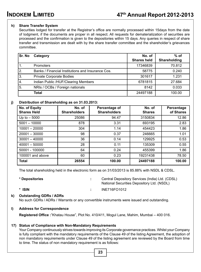#### **h) Share Transfer System**

Securities lodged for transfer at the Registrar's office are normally processed within 15days from the date of lodgment, if the documents are proper in all respect. All requests for dematerialization of securities are processed and the confirmation is given to the depositories within 15 days. Any queries in respect of share transfer and transmission are dealt with by the share transfer committee and the shareholder's grievances committee.

| <b>Sr. No</b> | Category                                          | No. of<br><b>Shares held</b> | $%$ of<br><b>Shareholding</b> |
|---------------|---------------------------------------------------|------------------------------|-------------------------------|
|               | <b>Promoters</b>                                  | 17346839                     | 70.812                        |
| 2.            | Banks / Financial Institutions and Insurance Cos. | 58775                        | 0.240                         |
| 3.            | Private Corporate Bodies                          | 301617                       | 1.231                         |
| 4.            | Indian Public /HUF/Clearing Members               | 6781815                      | 27.684                        |
| 5.            | NRIs / OCBs / Foreign nationals                   | 8142                         | 0.033                         |
|               | <b>Total</b>                                      | 24497188                     | 100.00                        |

#### **j) Distribution of Shareholding as on 31.03.2013:**

| No. of Equity<br><b>Shares Held</b> | No. of<br><b>Shareholders</b> | Percentage of<br><b>Shareholders</b> | No. of<br><b>Shares</b> | Percentage<br>of Shares |
|-------------------------------------|-------------------------------|--------------------------------------|-------------------------|-------------------------|
| Up to $-5000$                       | 25086                         | 94.47                                | 3150834                 | 12.86                   |
| $5001 - 10000$                      | 878                           | 3.31                                 | 693195                  | 2.83                    |
| $10001 - 20000$                     | 304                           | 1.14                                 | 454423                  | 1.86                    |
| $20001 - 30000$                     | 98                            | 0.37                                 | 246665                  | 1.01                    |
| $30001 - 40000$                     | 36                            | 0.14                                 | 129925                  | 0.53                    |
| $40001 - 50000$                     | 28                            | 0.11                                 | 135309                  | 0.55                    |
| 50001 - 100000                      | 64                            | 0.24                                 | 455399                  | 1.86                    |
| 100001 and above                    | 60                            | 0.23                                 | 19231438                | 78.50                   |
| <b>Total</b>                        | 26554                         | 100.00                               | 24497188                | 100.00                  |

The total shareholding held in the electronic form as on 31/03/2013 is 85.88% with NSDL & CDSL.

| * Depositories | Central Depository Services (India) Ltd. (CDSL)<br>National Securities Depository Ltd. (NSDL) |
|----------------|-----------------------------------------------------------------------------------------------|
| * ISIN         | INE716FO1012                                                                                  |

#### **k) Outstanding GDRs / ADRs**

No such GDRs / ADRs / Warrants or any convertible instruments were issued and outstanding.

#### **l) Address for Correspondence**

**Registered Office :**"Khatau House", Plot No. 410/411, Mogul Lane, Mahim, Mumbai – 400 016.

#### **17) Status of Compliance with Non-Mandatory Requirements**

Your Company continuously strives towards improving its Corporate governance practices. Whilst your Company is fully compliant with the mandatory requirements of the Clause 49 of the listing Agreement, the adoption of non mandatory requirements under Clause 49 of the listing agreement are reviewed by the Board from time to time. The status of non mandatory requirement is as follows: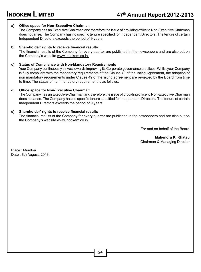#### **a) Office space for Non-Executive Chairman**

The Company has an Executive Chairman and therefore the issue of providing office to Non-Executive Chairman does not arise. The Company has no specific tenure specified for Independent Directors. The tenure of certain Independent Directors exceeds the period of 9 years.

#### **b) Shareholder' rights to receive financial results**

The financial results of the Company for every quarter are published in the newspapers and are also put on the Company's website www.indokem.co.in.

#### **c) Status of Compliance with Non-Mandatory Requirements**

Your Company continuously strives towards improving its Corporate governance practices. Whilst your Company is fully compliant with the mandatory requirements of the Clause 49 of the listing Agreement, the adoption of non mandatory requirements under Clause 49 of the listing agreement are reviewed by the Board from time to time. The status of non mandatory requirement is as follows:

#### **d) Office space for Non-Executive Chairman**

The Company has an Executive Chairman and therefore the issue of providing office to Non-Executive Chairman does not arise. The Company has no specific tenure specified for Independent Directors. The tenure of certain Independent Directors exceeds the period of 9 years.

#### **e) Shareholder' rights to receive financial results**

The financial results of the Company for every quarter are published in the newspapers and are also put on the Company's website www.indokem.co.in.

For and on behalf of the Board

 **Mahendra K. Khatau** Chairman & Managing Director

Place : Mumbai Date : 8th August, 2013.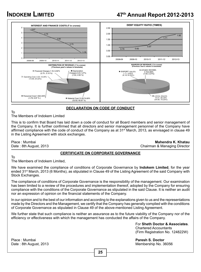# **INDOKEM LIMITED 47th Annual Report 2012-2013**



## **DECLARATION ON CODE OF CONDUCT**

#### To The Members of Indokem Limited

This is to confirm that Board has laid down a code of conduct for all Board members and senior management of the Company. It is further confirmed that all directors and senior management personnel of the Company have affirmed compliance with the code of conduct of the Company as at 31<sup>st</sup> March, 2013, as envisaged in clause 49 in the Listing Agreement with stock exchanges.

To

Place : Mumbai **Mahendra K. Khatau**  Chairman & Managing Director

#### **CERTIFICATE ON CORPORATE GOVERNANCE**

The Members of Indokem Limited,

We have examined the compliance of conditions of Corporate Governance by **Indokem Limited**, for the year ended 31<sup>st</sup> March, 2013 (6 Months), as stipulated in Clause 49 of the Listing Agreement of the said Company with Stock Exchanges.

The compliance of conditions of Corporate Governance is the responsibility of the management. Our examination has been limited to a review of the procedures and implementation thereof, adopted by the Company for ensuring compliance with the conditions of the Corporate Governance as stipulated in the said Clause. It is neither an audit nor an expression of opinion on the financial statements of the Company.

In our opinion and to the best of our information and according to the explanations given to us and the representations made by the Directors and the Management, we certify that the Company has generally complied with the conditions of Corporate Governance as stipulated in Clause 49 of the above-mentioned Listing Agreement.

We further state that such compliance is neither an assurance as to the future viability of the Company nor of the efficiency or effectiveness with which the management has conducted the affairs of the Company.

> For **Sheth Doctor & Associates**. Chartered Accountants (Firm Registration No. 124822W)

Membership No. 36056

Place : Mumbai **Paresh S. Doctor**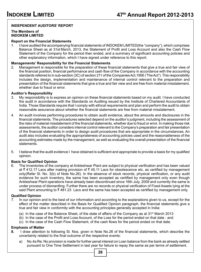## **INDEPENDENT AUDITORS' REPORT**

#### **The Members of INDOKEM LIMITED**

#### **Report on the Financial Statements**

1. I have audited the accompanying financial statements of INDOKEM LIMITED(the "company"), which comprises Balance Sheet as at 31st March, 2013, the Statement of Profit and Loss Account and also the Cash Flow Statement of the Company for the period then ended, and a summary of significant accounting policies and other explanatory information, which I have signed under reference to this report.

#### **Managements' Responsibility for the Financial Statements**

2. Management is responsible for the preparation of these financial statements that give a true and fair view of the financial position, financial performance and cash flow of the Company in accordance with the accounting standards referred to in sub-section (3C) of section 211 of the Companies Act,1956 ('The Act"). This responsibility includes the design, implementation and maintenance of internal control relevant to the preparation and presentation of the financial statements that give a true and fair view and are free from material misstatement, whether due to fraud or error.

#### **Auditor's Responsibility**

- 3. My responsibility is to express an opinion on these financial statements based on my audit. I have conducted the audit in accordance with the Standards on Auditing issued by the Institute of Chartered Accountants of India. Those Standards require that I comply with ethical requirements and plan and perform the audit to obtain reasonable assurance about whether the financial statements are free from material misstatement.
- 4. An audit involves performing procedures to obtain audit evidence, about the amounts and disclosures in the financial statements. The procedures selected depend on the auditor's judgment, including the assessment of the risks of material misstatement of the financial statements, whether due to fraud or error. In making those risk assessments, the auditor considers internal control relevant to the Company's preparation and fair presentation of the financial statements in order to design audit procedures that are appropriate in the circumstances. An audit also includes evaluating the appropriateness of accounting policies used and the reasonableness of the accounting estimates made by the management, as well as evaluating the overall presentation of the financial statements.
- 5. I believe that the audit evidence I have obtained is sufficient and appropriate to provide a basis for my qualified opinion.

#### **Basis for Qualified Opinion**

6. The Inventories of the company at Ankleshwar Plant are subject to physical verification and has been valued at  $\bar{\tau}$  412.17 Lacs after making provision of  $\bar{\tau}$  45.11 Lacs for obsolescence etc. as certified by management only(Refer Sl. No. 3(b) of Note No.26). In the absence of stock records, physical verification, or any audit evidence for such inventory, the same has been accepted as certified by management only even though Ankleshwar Plant operations have already been discontinued since 16th July, 2009 and currently the same is under process of dismantling. Further there are no records or physical verification of Fixed Assets lying at the said Plant amounting to  $\bar{\tau}$  481.23 Lacs and the same has been accepted as certified by management only.

#### **Qualified Opinion**

- 7. In our opinion and to the best of our information and according to the explanations given to us, except for the effect of the matter described in the Basis for Qualified Opinion paragraph, the financial statements give a true and fair view in conformity with the accounting principles generally accepted in India:
	- (a) In the case of the Balance Sheet, of the state of affairs of the Company as at  $31<sup>st</sup>$  March 2013
	- (b) In the case of the Profit and Loss Account, of the Loss for the period ended on that date : and
	- (c) In the case of the Cash Flow Statement, of the cash flows for the period ended on that date.

#### **Emphasis of Matter**

- **8.** I draw attention to following Sl. Nos. given in Note No.26 of the financial statements, which describe the uncertainty related to the final outcome of the respective events:
	- a) No.4a Re: No provision is made for further penal interest on Loan balance from the bank as already settled pursuant to One Time Settlement in last year for failure to repay the same as per terms of settlement.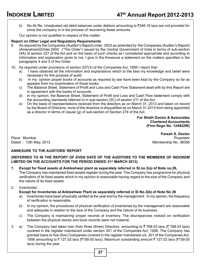b) No.4b Re: Unadjusted old debit balances under debtors amounting to  $\bar{\tau}$ 346.19 lacs are not provided for since the company is in the process of recovering these amounts.

Our opinion is not qualified in respect of this matter.

#### **Report on Other Legal and Regulatory Requirements**

- 9. As required by the Companies (Auditor's Report) order ,2003,as amended by 'the Companies (Auditor's Report) (Amendment)Order,2004' ("The Order") issued by the Central Government of India in terms of sub-section (4A) of section 227 of the Act and on the basis of such checks as I considered appropriate and according to information and explanation given to me, I give in the Annexure a statement on the matters specified in the paragraphs 4 and 5 of the Order.
- 10. As required under provisions of section 227(3) of the Companies Act, 1956 I report that :
	- a) I have obtained all the information and explanations which to the best my knowledge and belief were necessary for the purpose of audit;
	- b) In my opinion proper books of accounts as required by law have been kept by the Company so far as appears from my examination of those books.
	- c) The Balance Sheet, Statement of Profit and Loss and Cash Flow Statement dealt with by this Report are in agreement with the books of accounts.
	- d) In my opinion, the Balance Sheet, Statement of Profit and Loss and Cash Flow statement comply with the accounting standards referred to in sub-section (3C) of section 211 of the Act.
	- e) On the basis of representations received from the directors as on March 31, 2013 and taken on record by the Board of Directors, none of the directors is disqualified as on March 31,2013 from being appointed as a director in terms of clause (g) of sub-section of Section 274 of the Act.

**For Sheth Doctor & Associates** **Chartered Accountants (Firm Regn No. 124822W)**

Place :Mumbai. Dated : 13th May, 2013 Membership No. 36056

**Paresh S. Doctor**

#### **ANNEXURE TO THE AUDITORS' REPORT**

**(REFERRED TO IN THE REPORT OF EVEN DATE OF THE AUDITORS TO THE MEMBERS OF INDOKEM LIMITED ON THE ACCOUNTS FOR THE PERIOD ENDED 31st MARCH 2013)**

**1. Except for fixed assets at Ankleshwar plant as separately referred in Sl.no.3(a) of Note no.26,** The Company has maintained fixed assets register during the year. The Company has programme for physical verification of its fixed assets which in my opinion is reasonable having regard to the size of the Company and the nature of its fixed assets.

#### 2. Inventories:

#### **Except for Inventories at Ankleshwar Plant as separately referred in Sl No.3(b) of Note No 26**

- a) Inventories have been physically verified at the year end by the management. In my opinion, the frequency of verification is reasonable.
- b) In my opinion, the procedures of physical verification of inventories by the management are reasonable and adequate in relation to the size of the Company and the nature of its business.
- c) The Company is maintaining proper records of inventory. The discrepancies noticed on verification between the physical stocks and book records were not material.
- 3. a) The Company had taken loan from three (three) Directors amounting to  $\bar{\tau}$  768.03 lacs ( $\bar{\tau}$  768.53 lacs) covered in the register maintained under section 301 of the Companies Act, 1956. The Company has granted loans to five (five) Companies covered in the register maintained u/s. 301 of the Companies Act, 1956 amounting to  $\bar{\zeta}$  127.02 lacs (₹159.00 lacs), Maximum outstanding amount  $\bar{\zeta}$  127.02 lacs (₹159.00 lacs) during the year.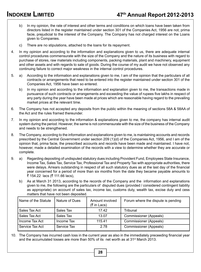- b) In my opinion, the rate of interest and other terms and conditions on which loans have been taken from directors listed in the register maintained under section 301 of the Companies Act, 1956 are not, prima facie, prejudicial to the interest of the Company. The Company has not charged interest on the Loans given to Companies.
- c) There are no stipulations, attached to the loans for its repayment.
- 4. In my opinion and according to the information and explanations given to us, there are adequate internal control procedures commensurate with the size of the Company and the nature of its business with regard to purchase of stores, raw materials including components, packing materials, plant and machinery, equipment and other assets and with regards to sale of goods. During the course of my audit we have not observed any continuing failure to correct major weakness in the internal control procedures.
- 5. a) According to the information and explanations given to me, I am of the opinion that the particulars of all contracts or arrangements that need to be entered into the register maintained under section 301 of the Companies Act, 1956 have been so entered.
	- b) In my opinion and according to the information and explanation given to me, the transactions made in pursuance of such contracts or arrangements and exceeding the value of rupees five lakhs in respect of any party during the year have been made at prices which are reasonable having regard to the prevailing market prices at the relevant time.
- 6. The Company has not accepted any deposits from the public within the meaning of sections 58A & 58AA of the Act and the rules framed thereunder.
- 7. In my opinion and according to the information & explanations given to me, the company has internal audit system during the period. However, the same is not commensurate with the size of the business of the Company and needs to be strengthened.
- 8. The Company, according to the information and explanations given to me, is maintaining accounts and records prescribed by the Central Government under section 209 (1)(d) of the Companies Act, 1956, and I am of the opinion that, prima facie, the prescribed accounts and records have been made and maintained. I have not, however, made a detailed examination of the records with a view to determine whether they are accurate or complete.
- 9. a) Regarding depositing of undisputed statutory dues including Provident Fund, Employees State Insurance, Income Tax, Sales Tax, Service Tax, Professional Tax and Property Tax with appropriate authorities, there were delays. Arrears outstanding in respect of all such statutory dues as at the last day of the financial year concerned for a period of more than six months from the date they became payable amounts to ₹ 154.22 lacs (₹ 111.66 lacs),
	- b) As at March 31 2013, according to the records of the Company and the information and explanations given to me, the following are the particulars of disputed dues (provided / considered contingent liability as appropriate) on account of sales tax, income tax, customs duty, wealth tax, excise duty and cess matters that have not been deposited.

| Name of the Statute | Nature of Dues | Amount involved<br>$(5 \in \mathsf{In}$ Lacs) | Forum where the dispute is pending |
|---------------------|----------------|-----------------------------------------------|------------------------------------|
| Sales Tax Act       | Sales Tax      | 17.42                                         | Tribunal                           |
| Sales Tax Act       | Sales Tax      | 13.07                                         | Commissioner (Appeals)             |
| Income Tax Act      | Income Tax     | 115.41                                        | Commissioner (Appeals)             |
| Service Tax Act     | Service Tax    | 2.78                                          | Commissioner (Appeals)             |

10. The Company has incurred cash loss in the current year as also in the immediately preceeding financial year and the accumulated losses are more than  $50\%$  of its net worth as at  $31\text{st}$  March 2013.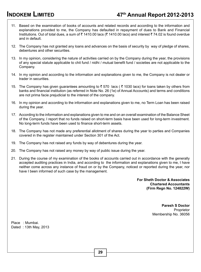# **INDOKEM LIMITED 47th Annual Report 2012-2013**

- 11. Based on the examination of books of accounts and related records and according to the information and explanations provided to me, the Company has defaulted in repayment of dues to Bank and Financial Institutions. Out of total dues, a sum of ₹ 1410.00 lacs (₹ 1410.00 lacs) and interest ₹ 74.02 is found overdue and in default.
- 12. The Company has not granted any loans and advances on the basis of security by way of pledge of shares, debentures and other securities.
- 13. In my opinion, considering the nature of activities carried on by the Company during the year, the provisions of any special statute applicable to chit fund / nidhi / mutual benefit fund / societies are not applicable to the Company.
- 14. In my opinion and according to the information and explanations given to me, the Company is not dealer or trader in securities.
- 15. The Company has given quarantees amounting to  $\bar{\tau}$  570 lacs ( $\bar{\tau}$  1030 lacs) for loans taken by others from banks and financial institution (as referred in Note No. 26 (1e) of Annual Accounts) and terms and conditions are not prima facie prejudicial to the interest of the company.
- 16. In my opinion and according to the information and explanations given to me, no Term Loan has been raised during the year.
- 17. According to the information and explanations given to me and on an overall examination of the Balance Sheet of the Company, I report that no funds raised on short-term basis have been used for long-term investment. No long-term funds have been used to finance short-term assets.
- 18. The Company has not made any preferential allotment of shares during the year to parties and Companies covered in the register maintained under Section 301 of the Act.
- 19. The Company has not raised any funds by way of debentures during the year.
- 20. The Company has not raised any money by way of public issue during the year.
- 21. During the course of my examination of the books of accounts carried out in accordance with the generally accepted auditing practices in India, and according to the information and explanations given to me, I have neither come across any instance of fraud on or by the Company, noticed or reported during the year, nor have I been informed of such case by the management.

**For Sheth Doctor & Associates Chartered Accountants (Firm Regn No. 124822W)**

> **Paresh S Doctor** Proprietor Membership No. 36056

Place : Mumbai. Dated : 13th May, 2013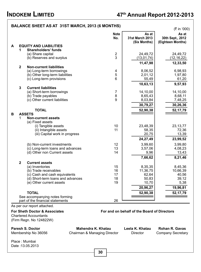# **INDOKEM LIMITED 47th Annual Report 2012-2013**

## As per our report attached. **For Sheth Doctor & Associates For and on behalf of the Board of Directors**  Chartered Accountants (Firm Regn. No 124822W) **Paresh S. Doctor Mahendra K. Khatau Leela K. Khatau Rohan R. Gavas** Membership No 36056 Chairman & Managing Director Director Company Secretary Place : Mumbai Date :13.05.2013 **BALANCE SHEET AS AT 31ST MARCH, 2013 (6 MONTHS)** ( $\bar{\tau}$  in '000) **Note As at As at No. 31st March 2013 30th Sept., 2012 (Six Months) (Eighteen Months) A EQUITY AND LIABILITIES 1 Shareholders' funds** (a) Share capital  $\begin{array}{c|c} 2 & 24,49,72 \\ 2 & 13,01,74 \end{array}$  (12,16,22) (b) Reserves and surplus  $3 \mid$  (13,01,74) **11,47,98** 12,33,50 **12,33,50 2 Non-current liabilities** (a) Long-term borrowings 4 8,06,52 6,98,93 (b) Other long-term liabilities  $(2,0)$  Cong-term provisions  $(3,2)$ <br>  $(5,0)$   $(5,49)$   $(5,49)$   $(5,42)$ (c) Long-term provisions **10,63,13 19,57,93 3 Current liabilities** (a) Short-term borrowings  $\begin{array}{c|c} 7 & 14,10,00 \\ 8 & 8.65.43 \end{array}$  14,10,00 14,10,00 (b) Trade payables  $(2, 0)$  Trade payables  $(3, 65, 43$ <br>
(c) Other current liabilities  $(3, 0)$  8,03.84  $(3, 0)$  8,03.84  $(3, 0)$  7.48.25  $(c)$  Other current liabilities  $\begin{array}{|c|c|c|c|c|}\n\hline\n\text{30,79,27} & \text{30,26,36}\n\hline\n\end{array}$ **TOTAL** 52,90,38 52,17,79 **B ASSETS**  1 **Non-current assets** (a) Fixed assets (i) Tangible assets 10 10 23,48,39 23,13,77<br>(ii) Intangible assets 11 58.35 23,48,39 23,13,77 (ii) Intangible assets 72,36 72,36 72,36 72,36 73,39 73,39 73,39 (iii) Capital work in progress  $24,27,49$  **23,99,52** (b) Non-current investments  $\begin{array}{c|c} 3,99,60 & 3,99,80 \\ 2,90,60 & 3,99,80 \\ 3,57.06 & 3.57.06 \end{array}$   $\begin{array}{c} 3,99,80 \\ 4,08.23 \end{array}$ (c) Long-term loans and advances  $(3, 57, 06)$ <br>
(d) Other non Current assets  $(4, 08, 23)$ <br>
(d) Other non Current assets  $(3, 4, 08)$ (d) Other non Current assets **7,66,62** 8,21,46 **2 Current assets** (a) Inventories 15 8,35,35 8,45,36 8,45,36 8,45,36 (b) Trade receivables 16 8,45,36 8,45,36 (c)  $\frac{1}{36}$  8,45,36 8,45,36 8,45,36 8,45,36 8,45,36 8,45,36 8,45,36 8,45,38 8,45,36 8,45,38 8,45,38 8,45,38 8,45,38 8,45,39 8 (b) Trade receivables 16 11,36,75 10,66,39<br>
(c) Cash and cash equivalents 17 17 16 11,36,75 10,66,39 (c) Cash and cash equivalents  $(3)$  Short-term loans and advances  $(4)$  Short-term loans and advances  $(5)$   $(6)$   $(7)$   $(8)$   $(8)$   $(9.12)$ (d) Short-term loans and advances  $(18 \nvert 18 \nvert 50,83 \nvert 39,12 \nvert 5.38 \nvert 5.38 \nvert 5.38 \nvert 5.38 \nvert 5.38 \nvert 5.38 \nvert 5.38 \nvert 5.38 \nvert 5.38 \nvert 5.38 \nvert 5.38 \nvert 5.38 \nvert 5.38 \nvert 5.38 \nvert 5.38 \nvert 5.38 \nvert 5.38 \nvert 5.38 \nvert 5.38 \nvert 5.3$ (e) Other current assets **20,96,27 | 20,96,27 | 19,96,81 | TOTAL 52,90,38 52,17,79**  See accompanying notes forming part of the financial statements 26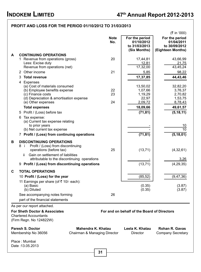## **Profit and Loss for the period 01/10/2012 to 31/03/2013**

|   |                                                                                                         |                              |                                                               | (₹ in '000)                                                        |
|---|---------------------------------------------------------------------------------------------------------|------------------------------|---------------------------------------------------------------|--------------------------------------------------------------------|
|   |                                                                                                         | <b>Note</b><br>No.           | For the period<br>01/10/2012<br>to 31/03/2013<br>(Six Months) | For the period<br>01/04/2011<br>to 30/09/2012<br>(Eighteen Months) |
| A | <b>CONTINUING OPERATIONS</b>                                                                            |                              |                                                               |                                                                    |
|   | 1 Revenue from operations (gross)                                                                       | 20                           | 17,44,81                                                      | 43,66,99                                                           |
|   | Less: Excise duty                                                                                       |                              | <u>12,81</u>                                                  | 21,75                                                              |
|   | Revenue from operations (net)                                                                           |                              | 17,32,00                                                      | 43,45,24                                                           |
|   | 2 Other income                                                                                          | 21                           | 5,85                                                          | 98,22                                                              |
|   | <b>Total revenue</b><br>3                                                                               |                              | 17,37,85                                                      | 44,43,46                                                           |
|   | 4 Expenses<br>(a) Cost of materials consumed<br>(b) Employee benefits expense                           | 22<br>23                     | 13,50,02<br>1,07,66                                           | 32,82,20<br>3,76,37                                                |
|   | (c) Finance costs                                                                                       |                              | 1,19,29<br>22,97                                              | 2,70,82                                                            |
|   | (d) Depreciation & amortisation expense<br>(e) Other expenses                                           | 24                           | 2,09,72                                                       | 1,53,75<br>8,78,43                                                 |
|   | <b>Total expenses</b>                                                                                   |                              | 18,09,66                                                      | 49,61,57                                                           |
|   | 5 Profit / (Loss) before tax                                                                            |                              | (71, 81)                                                      | (5, 18, 11)                                                        |
|   | 6 Tax expense:<br>(a) Current tax expense relating                                                      |                              |                                                               |                                                                    |
|   | to prior years<br>(b) Net current tax expense                                                           |                              |                                                               | 10<br>10                                                           |
|   | 7 Profit / (Loss) from continuing operations                                                            |                              | (71, 81)                                                      | (5, 18, 01)                                                        |
|   |                                                                                                         |                              |                                                               |                                                                    |
| В | <b>DISCONTINUING OPERATIONS</b><br>Profit / (Loss) from discontinuing<br>8 i<br>operations (before tax) | 25                           | (13, 71)                                                      | (4, 32, 61)                                                        |
|   | Gain on settlement of liabilities<br>ii.<br>attributable to the discontinuing operations                |                              |                                                               | 3,26                                                               |
|   | 9 Profit / (Loss) from discontinuing operations                                                         |                              | (13, 71)                                                      | (4, 29, 35)                                                        |
| C | <b>TOTAL OPERATIONS</b>                                                                                 |                              |                                                               |                                                                    |
|   |                                                                                                         |                              |                                                               |                                                                    |
|   | 10 Profit / (Loss) for the year                                                                         |                              | (85, 52)                                                      | (9, 47, 36)                                                        |
|   | 11 Earnings per share (of ₹ 10/- each):                                                                 |                              |                                                               |                                                                    |
|   | (a) Basic<br>(b) Diluted                                                                                |                              | (0.35)<br>(0.35)                                              | (3.87)<br>(3.87)                                                   |
|   | See accompanying notes forming                                                                          | 26                           |                                                               |                                                                    |
|   | part of the financial statements                                                                        |                              |                                                               |                                                                    |
|   |                                                                                                         |                              |                                                               |                                                                    |
|   | As per our report attached.                                                                             |                              |                                                               |                                                                    |
|   | <b>For Sheth Doctor &amp; Associates</b><br><b>Chartered Accountants</b><br>(Firm Regn. No 124822W)     |                              | For and on behalf of the Board of Directors                   |                                                                    |
|   | <b>Paresh S. Doctor</b>                                                                                 | Mahendra K. Khatau           | Leela K. Khatau                                               | <b>Rohan R. Gavas</b>                                              |
|   | Membership No 36056                                                                                     | Chairman & Managing Director | Director                                                      | <b>Company Secretary</b>                                           |
|   | Place: Mumbai<br>Date: 13.05.2013                                                                       |                              |                                                               |                                                                    |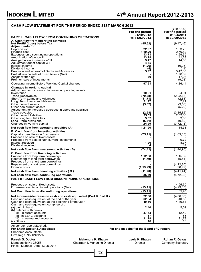# **INDOKEM LIMITED 47<sup>th</sup> Annual Report 2012-2013**

| <b>CASH FLOW STATEMENT FOR THE PERIOD ENDED 31ST MARCH 2013</b>                                                                                                                                                                                                                                                                                   |                                                    |                                                                                    |                                                                                                   |  |  |
|---------------------------------------------------------------------------------------------------------------------------------------------------------------------------------------------------------------------------------------------------------------------------------------------------------------------------------------------------|----------------------------------------------------|------------------------------------------------------------------------------------|---------------------------------------------------------------------------------------------------|--|--|
| <b>PART I : CASH FLOW FROM CONTINUING OPERATIONS</b>                                                                                                                                                                                                                                                                                              |                                                    | For the period<br>01/10/2012<br>to 31/03/2013                                      | (₹ in '000)<br>For the period<br>01/04/2011<br>to 30/09/2012                                      |  |  |
| A. Cash flow from operating activities<br>Net Profit/ (Loss) before Tax                                                                                                                                                                                                                                                                           |                                                    | (85, 52)                                                                           | (9, 47, 46)                                                                                       |  |  |
| Adjustments for :<br>Depreciation<br>Finance cost<br>Expenses on discontinuing opetations<br>Amortization of goodwill<br>Amalgamation expenses w/off<br>Adjustment out of capital WIP<br>Interest income<br>Dividend income<br>Provision and write-off of Debts and Advances<br>Profit/(loss) on sale of Fixed Assets (Net)<br>Assets written off |                                                    | 22,97<br>1.19.29<br>13.71<br>13,78<br>3,47<br>4,55<br>(1, 26)<br>(4)<br>5,97<br>69 | 1,53,75<br>2,70,82<br>4,29,35<br>41,33<br>14,55<br>(10,05)<br>(14)<br>3,47,35<br>1,78,89<br>17,08 |  |  |
| Profit on sale of investments                                                                                                                                                                                                                                                                                                                     |                                                    |                                                                                    | (9,03)                                                                                            |  |  |
| Operating Income Before Working Capital changes                                                                                                                                                                                                                                                                                                   |                                                    | 97,61                                                                              | 4,86,44                                                                                           |  |  |
| Changes in working capital<br>Adjustment for increase / decrease in operating assets<br>Inventories<br><b>Trade Receivables</b><br>Short Term Loans and Advances<br>Long Term Loans and Advances<br>Other current assets<br>Other non-current assets<br>Adjustment for increase / decrease in operating liabilities                               |                                                    | 10.01<br>(70, 38)<br>(11, 71)<br>51,17<br>(5, 32)                                  | 24.91<br>(2, 22, 68)<br>(2, 81)<br>7,21<br>(3,58)<br>(5,20)                                       |  |  |
| Trade payables<br>Other current liabilities<br>Other long term liabilities<br>Long - term provisions<br>Changes in working capital                                                                                                                                                                                                                |                                                    | (2,68)<br>55,59<br>3,32<br>(5, 71)<br>24,29                                        | (3,85,82)<br>2,52,80<br>3.86<br>(40, 82)<br>(3, 72, 13)                                           |  |  |
| Net cash flow from operating activities (A)<br>B. Cash flow from investing activities                                                                                                                                                                                                                                                             |                                                    | 1,21,90                                                                            | 1,14,31                                                                                           |  |  |
| Capital expenditure on fixed assets<br>Proceeds on sale of fixed assets<br>Proceeds from sale of Non current investments<br>Interest received<br>Dividend received                                                                                                                                                                                |                                                    | (75, 71)<br>1,26                                                                   | (1,63,13)<br>9,72<br>8,37<br>14                                                                   |  |  |
| Net cash flow from invetsment activities (B)                                                                                                                                                                                                                                                                                                      |                                                    | (74, 41)                                                                           | (1, 44, 90)                                                                                       |  |  |
| C. Cash flow from financing activities<br>Proceeds from long term borrowings<br>Repayment of long term borrowings<br>Proceeds from short term borrowings<br>Repayment of short term borrowings<br>Finance costs                                                                                                                                   |                                                    | 1,12,38<br>(4,79)<br>(1, 19, 29)                                                   | 1,15,82<br>(45, 54)<br>(4, 12, 80)<br>(98, 92)                                                    |  |  |
| Net cash flow from financing activities (C)                                                                                                                                                                                                                                                                                                       |                                                    | (11,70)                                                                            | (4, 41, 44)                                                                                       |  |  |
| Net cash flow from continuing operations<br><b>PART II: CASH FLOW FROM DISCONTINUING OPERATIONS</b>                                                                                                                                                                                                                                               |                                                    | 35,79                                                                              | (4, 72, 03)                                                                                       |  |  |
| Proceeds on sale of fixed assets<br>Expenses on discontinued operations (Net)<br>Net Cash flow from discontinuing operations                                                                                                                                                                                                                      |                                                    | (13,71)<br>(13, 71)                                                                | 4,95,30<br>(4, 29, 35)<br>65,95                                                                   |  |  |
| Net increase/(decrease) in cash and cash equivalent (Part I+ Part II)<br>Cash and cash equivalent at the end of the year<br>Cash and cash equivalent at the beginning of the year<br>Cash and cash equivalent comprise of:                                                                                                                        |                                                    | 22.08<br>62,64<br>40,56                                                            | (4,06,08)<br>40,56<br>4,46,64                                                                     |  |  |
| (a) cash in hand<br>(b) balance with banks<br>(i) in curent accounts<br>(ii) in EEFC accounts<br>(III) in earmarked accounts<br>(c) Others                                                                                                                                                                                                        |                                                    | 2,40<br>37,73<br>57<br>21,78<br>16                                                 | 5,59<br>12,49<br>55<br>21,78<br>15                                                                |  |  |
| As per our report attached.<br>For Sheth Doctor & Associates<br><b>Chartered Accountants</b><br>Firm Regn. No 124822W                                                                                                                                                                                                                             |                                                    | For and on behalf of the Board of Directors                                        |                                                                                                   |  |  |
| <b>Paresh S. Doctor</b><br>Membership No 36056<br>Place: Mumbai Date: 13.05.2013                                                                                                                                                                                                                                                                  | Mahendra K. Khatau<br>Chairman & Managing Director | Leela K. Khatau<br><b>Director</b>                                                 | <b>Rohan R. Gavas</b><br>Company Secretary                                                        |  |  |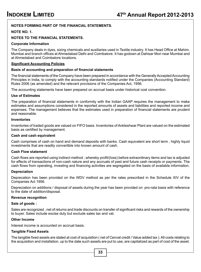#### **NOTES FORMING PART OF THE FINANCIAL STATEMENTS.**

### **NOTE NO. 1.**

#### **NOTES TO THE FINANCIAL STATEMENTS.**

#### **Corporate Information**

The Company deals in dyes, sizing chemicals and auxiliaries used in Textile industry. It has Head Office at Mahim, Mumbai and branch offices at Ahmedabad Delhi and Coimbatore. It has godown at Dahisar Mori near Mumbai and at Ahmedabad and Coimbatore locations.

#### **Significant Accounting Policies**

#### **Basis of accounting and preparation of financial statements**

The financial statements of the Company have been prepared in accordance with the Generally Accepted Accounting Principles in India, to comply with the accounting standards notified under the Companies (Accounting Standard) Rules 2006 (as amended) and the relevant provisions of the Companies Act, 1956.

The accounting statements have been prepared on accrual basis under historical cost convention.

#### **Use of Estimates**

The preparation of financial statements in conformity with the Indian GAAP requires the management to make estimates and assumptions considered in the reported amounts of assets and liabilities and reported income and expenses. The management believes that the estimates used in preparation of financial statements are prudent and reasonable.

#### **Inventories**

Inventories of traded goods are valued on FIFO basis. Inventories of Ankleshwar Plant are valued on the estimated basis as certified by management.

#### **Cash and cash equivalent**

Cash comprises of cash on hand and demand deposits with banks. Cash equivalent are short term , highly liquid investments that are readily convertible into known amount of cash.

#### **Cash Flow statement**

Cash flows are reported using indirect method , whereby profit/(loss) before extraordinary items and tax is adjusted for effects of transactions of non-cash nature and any accruals of past and future cash receipts or payments. The cash flows from operating, investing and financing activities are segregated on the basis of available information.

#### **Depreciation**

Deprecation has been provided on the WDV method as per the rates prescribed in the Schedule XIV of the Companies Act 1956.

Depreciation on additions / disposal of assets during the year has been provided on pro-rata basis with reference to the date of addition/disposal.

#### **Revenue recognition**

#### **Sale of goods :**

Sales are recognized , net of returns and trade discounts on transfer of significant risks and rewards of the ownership to buyer. Sales include excise duty but exclude sales tax and vat.

#### **Other Income**

Interest income is accounted on accrual basis.

#### **Tangible Fixed Assets**

The tangible fixed assets are stated at cost of acquisition ( net of Cenvat credit / Value added tax ). All costs relating to the acquisition and installation, up to the date such assets are put to use, are capitalized as part of cost of the asset.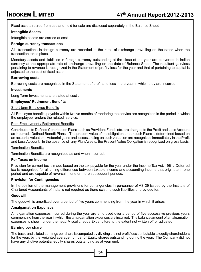Fixed assets retired from use and held for sale are disclosed separately in the Balance Sheet.

#### **Intangible Assets**

Intangible assets are carried at cost.

#### **Foreign currency transactions**

All transactions in foreign currency are recorded at the rates of exchange prevailing on the dates when the transaction takes place.

Monetary assets and liabilities in foreign currency outstanding at the close of the year are converted in Indian currency at the appropriate rate of exchange prevailing on the date of Balance Sheet. The resultant gain/loss pertaining to revenue is recognized in the Statement of profit / loss for the year and that of pertaining to capital is adjusted to the cost of fixed asset.

#### **Borrowing costs**

Borrowing costs are recognized in the Statement of profit and loss in the year in which they are incurred.

#### **Investments**

Long Term Investments are stated at cost .

#### **Employees' Retirement Benefits**

#### Short-term Employee Benefits

All Employee benefits payable within twelve months of rendering the service are recognized in the period in which the employee renders the related service.

#### Post Employment / Retirement Benefits

Contribution to Defined Contribution Plans such as Provident Funds etc. are charged to the Profit and Loss Account as incurred. Defined Benefit Plans – The present value of the obligation under such Plans is determined based on an actuarial valuation. Actuarial gains and losses arising on such valuation are recognized immediately in the Profit and Loss Account. In the absence of any Plan Assets, the Present Value Obligation is recognized on gross basis.

#### Termination Benefits

Termination Benefits are recognized as and when incurred.

#### **For Taxes on Income**

Provision for current tax is made based on the tax payable for the year under the Income Tax Act, 1961. Deferred tax is recognized for all timing differences between taxable income and accounting income that originate in one period and are capable of reversal in one or more subsequent periods.

#### **Provision for Contingencies**

In the opinion of the management provisions for contingencies in pursuance of AS 29 issued by the Institute of Chartered Accountants of India is not required as there exist no such liabilities unprovided for.

#### **Goodwill**

The goodwill is amortized over a period of five years commencing from the year in which it arises.

#### **Amalgamation Expenses**

Amalgamation expenses incurred during the year are amortised over a period of five successive previous years commencing from the year in which the amalgamation expenses are incurred. The balance amount of amalgamation expenses is shown under the head Miscellaneous Expenditure to the extent not written off or adjusted.

#### **Earning per share**

The basic and diluted earnings per share is computed by dividing the net profit/loss attributable to equity shareholders for the year, by the weighted average number of Equity shares outstanding during the year. The Company did not have any dilutive potential equity shares outstanding as at year end.

**34**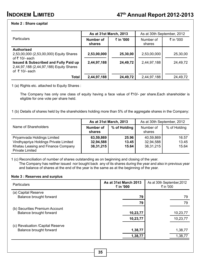#### **Note 2 : Share capital**

|                                                                                                                                                                                                   |                            | As at 31st March, 2013 | As at 30th September, 2012 |                      |
|---------------------------------------------------------------------------------------------------------------------------------------------------------------------------------------------------|----------------------------|------------------------|----------------------------|----------------------|
| <b>Particulars</b>                                                                                                                                                                                | Number of<br>shares        | ₹ in '000              | Number of<br>shares        | ₹ in '000            |
| <b>Authorised</b><br>2,53,00,000 (2,53,00,000) Equity Shares<br>of ₹ 10/- each<br>Issued & Subscribed and Fully Paid up<br>2,44,97,188 (2,44,97,188) Equity Shares<br>of $\overline{z}$ 10/- each | 2,53,00,000<br>2,44,97,188 | 25,30,00<br>24,49,72   | 2,53,00,000<br>2,44,97,188 | 25,30,00<br>24.49.72 |
| <b>Total</b>                                                                                                                                                                                      | 2,44,97,188                | 24,49,72               | 2,44,97,188                | 24.49.72             |

1 (a) Rights etc. attached to Equity Shares :

The Company has only one class of equity having a face value of  $\overline{\tau}10/-$  per share.Each shareholder is eligible for one vote per share held.

1 (b) Details of shares held by the shareholders holding more than 5% of the aggregate shares in the Company:

|                                                                                                                                      |                                       | As at 31st March, 2013  | As at 30th September, 2012          |                         |  |
|--------------------------------------------------------------------------------------------------------------------------------------|---------------------------------------|-------------------------|-------------------------------------|-------------------------|--|
| Name of Shareholders                                                                                                                 | Number of<br>shares                   | % of Holding            | Number of<br>shares                 | % of Holding            |  |
| Priyamvada Holdings Limited<br>Vindhyapriya Holdings Private Limited<br>Khatau Leasing and Finance Company<br><b>Private Limited</b> | 63,59,869<br>32,94,588<br>38, 31, 215 | 25.96<br>13.45<br>15.64 | 40,59,869<br>32,94,588<br>38,31,215 | 16.57<br>13.45<br>15.64 |  |

1 (c) Reconciliation of number of shares outstanding as on beginning and closing of the year. The Company has neither issued nor bought back any of its shares during the year and also in previous year and balance of shares at the end of the year is the same as at the beginning of the year.

#### **Note 3 : Reserves and surplus**

| <b>Particulars</b>                | As at 31st March 2013<br>₹ in '000 | As at 30th September, 2012<br>₹ in '000 |          |  |  |
|-----------------------------------|------------------------------------|-----------------------------------------|----------|--|--|
| (a) Capital Reserve               |                                    |                                         |          |  |  |
| Balance brought forward           | 79                                 |                                         | 79       |  |  |
|                                   | 79                                 |                                         | 79       |  |  |
| (b) Securities Premium Account    |                                    |                                         |          |  |  |
| Balance brought forward           | 10,23,77                           |                                         | 10,23,77 |  |  |
|                                   | 10,23,77                           |                                         | 10,23,77 |  |  |
| (c) Revaluation / Capital Reserve |                                    |                                         |          |  |  |
| Balance brought forward           | 1,38,77                            |                                         | 1,38,77  |  |  |
|                                   | 1,38,77                            |                                         | 1,38,77  |  |  |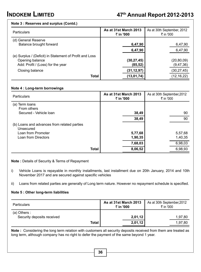#### **Note 3 : Reserves and surplus (Contd.)**

| <b>Particulars</b>                                                                                              | As at 31st March 2013<br>₹ in '000 | As at 30th September, 2012<br>₹ in '000 |  |
|-----------------------------------------------------------------------------------------------------------------|------------------------------------|-----------------------------------------|--|
| (d) General Reserve<br>Balance brought forward                                                                  | 6,47,90                            | 6,47,90                                 |  |
|                                                                                                                 | 6,47,90                            | 6,47,90                                 |  |
| (e) Surplus / (Deficit) in Statement of Profit and Loss<br>Opening balance<br>Add: Profit / (Loss) for the year | (30, 27, 45)<br>(85,52)            | (20, 80, 09)<br>(9, 47, 36)             |  |
| Closing balance                                                                                                 | (31,12,97)                         | (30, 27, 45)                            |  |
| <b>Total</b>                                                                                                    | (13, 01, 74)                       | (12, 16, 22)                            |  |

#### **Note 4 : Long-term borrowings**

| Particulars                                              |              | As at 31st March 2013<br>₹ in '000 | As at 30th September, 2012<br>₹ in '000 |    |  |
|----------------------------------------------------------|--------------|------------------------------------|-----------------------------------------|----|--|
| (a) Term loans<br>From others                            |              |                                    |                                         |    |  |
| Secured - Vehicle Ioan                                   |              | 38,49                              |                                         | 90 |  |
|                                                          |              | 38,49                              |                                         | 90 |  |
| (b) Loans and advances from related parties<br>Unsecured |              |                                    |                                         |    |  |
| Loan from Promoter                                       |              | 5,77,68                            | 5,57,68                                 |    |  |
| Loan from Directors                                      |              | 1,90,35                            | 1,40,35                                 |    |  |
|                                                          |              | 7,68,03                            | 6,98,03                                 |    |  |
|                                                          | <b>Total</b> | 8,06,52                            | 6,98,93                                 |    |  |

#### **Note :** Details of Security & Terms of Repayment

i) Vehicle Loans is repayable in monthly installments, last installment due on 20th January, 2014 and 10th November 2017 and are secured against specific vehicles

ii) Loans from related parties are generally of Long term nature. However no repayment schedule is specified.

#### **Note 5 : Other long-term liabilities**

| <b>Particulars</b>                           | As at 31st March 2013<br>₹ in '000 | As at 30th September, 2012<br>₹ in '000 |         |
|----------------------------------------------|------------------------------------|-----------------------------------------|---------|
| $(a)$ Others :<br>Security deposits received |                                    | 2,01,12                                 | 1,97,80 |
|                                              | <b>Total</b>                       | 2,01,12                                 | 1.97.80 |

**Note :** Considering the long term relation with customers all security deposits received from them are treated as long term, although company has no right to defer the payment of the same beyond 1 year.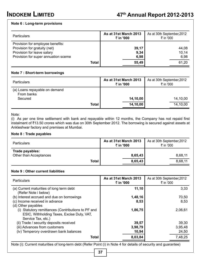#### **Note 6 : Long-term provisions**

| <b>Particulars</b>                                                                                                                    |       | As at 31st March 2013<br>₹ in '000 | As at 30th September, 2012<br>₹ in '000 |  |
|---------------------------------------------------------------------------------------------------------------------------------------|-------|------------------------------------|-----------------------------------------|--|
| Provision for employee benefits:<br>Provision for gratuity (net)<br>Provision for leave salary<br>Provision for super annuation sceme |       | 39,17<br>9,34<br>6,98              | 44.08<br>10.14<br>6,98                  |  |
|                                                                                                                                       | Total | 55,49                              | 61.20                                   |  |

#### **Note 7 : Short-term borrowings**

| <b>Particulars</b>                                     |       | As at 31st March 2013<br>₹ in '000 | As at 30th September, 2012<br>₹ in '000 |  |
|--------------------------------------------------------|-------|------------------------------------|-----------------------------------------|--|
| (a) Loans repayable on demand<br>From banks<br>Secured |       | 14,10,00                           | 14,10,00                                |  |
|                                                        |       |                                    |                                         |  |
|                                                        | Total | 14,10,00                           | 14,10,00                                |  |

#### Note:

Ī

(i) As per one time settlement with bank and repayable within 12 months, the Company has not repaid first instalment of `13.50 crores which was due on 30th September 2012. The borrowing is secured against assets at Ankleshwar factory and premises at Mumbai.

#### **Note 8 : Trade payables**

| <b>Particulars</b>                        | As at 31st March 2013<br>₹ in '000 | As at 30th September, 2012<br>₹ in '000 |  |
|-------------------------------------------|------------------------------------|-----------------------------------------|--|
| Trade payables:<br>Other than Acceptances | 8,65,43                            | 8.68.11                                 |  |
| Total                                     | 8,65,43                            | 8.68.11                                 |  |

#### **Note 9 : Other current liabilities**

| <b>Particulars</b>                                                                                                     | As at 31st March 2013<br>₹ in '000 | As at 30th September, 2012<br>₹ in '000 |
|------------------------------------------------------------------------------------------------------------------------|------------------------------------|-----------------------------------------|
| (a) Current maturities of long term debt<br>(Refer Note i below)                                                       | 11,10                              | 3.33                                    |
| (b) Interest accrued and due on borrowings                                                                             | 1,48,16                            | 70,50                                   |
| (c) Income received in advance<br>(d) Other payables                                                                   | 8,53                               | 8.53                                    |
| (i) Statutory remittances (Contributions to PF and<br>ESIC, Withholding Taxes, Excise Duty, VAT,<br>Service Tax, etc.) | 1,86,75                            | 2.06.61                                 |
| (ii) Trade / security deposits received                                                                                | 39,57                              | 39,30                                   |
| (iii) Advances from customers                                                                                          | 3,98,79                            | 3,95,48                                 |
| (iv) Temperory overdrawn bank balances                                                                                 | 10,94                              | 24,50                                   |
| <b>Total</b>                                                                                                           | 8,03,84                            | 7,48,25                                 |

Note (i): Current maturities of long-term debt (Refer Point (i) in Note 4 for details of security and guarantee)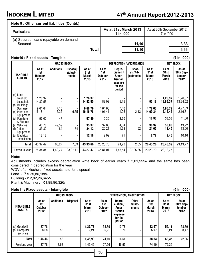# **INDOKEM LIMITED 47th Annual Report 2012-2013**

## **Note 9 : Other current liabilities (Contd.)**

| <b>Particulars</b>                               | As at 31st March 2013<br>₹ in '000 | As at 30th September, 2012<br>₹ in '000 |  |      |
|--------------------------------------------------|------------------------------------|-----------------------------------------|--|------|
| (a) Secured loans repayable on demand<br>Secured |                                    | 11.10                                   |  | 3,33 |
|                                                  | Total                              | 11.10                                   |  | 3.33 |

#### **Note10 : Fixed assets - Tangible (**` **in '000)**

|                                                    |                                  |                  | <b>GROSS BLOCK</b>            |                                |                                  |                                                                          | DEPRECIATION / AMORTISATION     |                                | <b>NET BLOCK</b>               |                                       |
|----------------------------------------------------|----------------------------------|------------------|-------------------------------|--------------------------------|----------------------------------|--------------------------------------------------------------------------|---------------------------------|--------------------------------|--------------------------------|---------------------------------------|
| TANGIBLE<br><b>ASSETS</b>                          | As at<br>1st<br>October,<br>2012 | <b>Additions</b> | Disposal/<br>Adjust-<br>ments | As at<br>31st<br>March<br>2013 | As at<br>1st<br>October,<br>2012 | Depre-<br>ciation /<br>Amor-<br>tisation<br>expense<br>for the<br>period | Dispos-<br>als/Ad-<br>justments | As at<br>31st<br>March<br>2013 | As at<br>31st<br>March<br>2013 | As at<br>30th Sep-<br>tember,<br>2012 |
| (a) Land<br>Freehold<br>Leasehold<br>(b) Buildings | 1,26,37<br>14,82,55              |                  |                               | 1,26,37<br>14,82,55            | 88,03                            | 5,15                                                                     |                                 | 93,18                          | 1,26,37<br>13,89,37            | 1,26,37<br>13,94,52                   |
| Own use<br>(c) Plant and<br>Equipment              | 9,61,64<br>16,18,11              | 7,15<br>5,22     | 6,55                          | 9,68,79<br>16,16,78            | 4.64.60<br>14,01,41              | 7,40<br>1,06                                                             | 2,13                            | 4,72,00<br>14,00,34            | 4,96,79<br>2,16,44             | 4,97,03<br>2,16,71                    |
| (d) Furniture<br>& Fixtures                        | 57,02                            | 47               |                               | 57,49                          | 15,36                            | 3,60                                                                     |                                 | 18,96                          | 38,53                          | 41,66                                 |
| (e) Vehicles<br>(f) Office<br>Equipment            | 45.78<br>33,82                   | 49,59<br>84      | 54                            | 95.37<br>34,12                 | 32.05<br>20,21                   | 4,34<br>1,98                                                             | 52                              | 36.39<br>21,67                 | 58.98<br>12,45                 | 13,72<br>13,60                        |
| (g) Electrical<br><b>Installation</b>              | 12,18                            |                  |                               | 12,18                          | 2,02                             | 71                                                                       |                                 | 2,72                           | 9,46                           | 10,16                                 |
| <b>Total</b>                                       | 43,37,47                         | 63,27            | 7,09                          | 43,93,66                       | 20,23,70                         | 24,22                                                                    | 2,65                            | 20,45,26                       | 23,48,39                       | 23,13,77                              |
| Previous year                                      | 75,84,84                         | 1,49,74          | 33,97,11                      | 43, 37, 47                     | 45,81,01                         | 1,48,54                                                                  | 27,05,85                        | 20,23,70                       | 23,13,77                       |                                       |

#### **Note:**

Adjustments includes excess depreciation write back of earlier years  $\bar{\tau}$  2,01,555/- and the same has been considered in depreciation for the year

WDV of ankleshwar fixed assets held for disposal

Land -  $\bar{z}$  9.25,86,188/-

Building - ₹ 2,82,26,645/-

Plant & Machinery - ₹1,98,96,326/-

#### **Note11 : Fixed assets - Intangible (**` **in '000)**

|                                             | <b>GROSS BLOCK</b>                     |                  |                 |                                |                                        | <b>DEPRECIATION / AMORTISATION</b>                                      |                                  |                                |                                | <b>NET BLOCK</b>                     |  |
|---------------------------------------------|----------------------------------------|------------------|-----------------|--------------------------------|----------------------------------------|-------------------------------------------------------------------------|----------------------------------|--------------------------------|--------------------------------|--------------------------------------|--|
| <b>INTANGIBLE</b><br><b>ASSETS</b>          | As at<br>1st<br><b>October</b><br>2012 | <b>Additions</b> | <b>Disposal</b> | As at<br>31st<br>March<br>2013 | As at<br>1st<br><b>October</b><br>2012 | Depre-<br>ciation/<br>Amor-<br>tisation<br>expense<br>for the<br>period | <b>Other</b><br>adjust-<br>ments | As at<br>31st<br>March<br>2013 | As at<br>31st<br>March<br>2013 | As at<br>30th Sep-<br>tember<br>2012 |  |
| (a) Goodwill<br>Computer<br>(b)<br>software | 1,37,78<br>8,68                        | 53               | -               | 1,37,78<br>9,21                | 68,89<br>5,21                          | 13,78<br>76                                                             |                                  | 82,67<br>5.97                  | 55,11<br>3,24                  | 68.89<br>3,47                        |  |
| <b>Total</b>                                | 1,46,46                                | 53               |                 | 1,46,99                        | 74,10                                  | 14,54                                                                   |                                  | 88,63                          | 58,35                          | 72,36                                |  |
| Previous year                               | 1,37,78                                | 8,68             |                 | 1,46,46                        | 27,56                                  | 46,55                                                                   |                                  | 74,10                          | 72,36                          |                                      |  |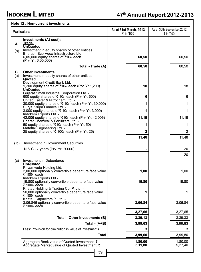#### **Note 12 : Non-current investments**

| Particulars |                                                                                                                                                                                                                                 | As at 31st March, 2013<br>₹ in '000 | As at 30th September, 2012<br>₹ in '000 |
|-------------|---------------------------------------------------------------------------------------------------------------------------------------------------------------------------------------------------------------------------------|-------------------------------------|-----------------------------------------|
| А.<br>(a)   | <b>Investments (At cost):</b><br>Trade<br><b>UnQuoted</b><br>Investment in equity shares of other entities<br>Bharuch Eco-Aqua Infrastructure Ltd.<br>6,05,000 equity shares of ₹10/- each<br>(Prv. Yr. 6,05,000)               | 60,50                               | 60,50                                   |
|             | Total - Trade (A)                                                                                                                                                                                                               | 60,50                               | 60,50                                   |
| В.<br>(a)   | <b>Other Investments</b><br>Investment in equity shares of other entities<br>Quoted<br>Development Credit Bank Ltd. -<br>1,200 equity shares of ₹10/- each (Prv. Yr.1,200)<br><b>UnQuoted</b>                                   | 18                                  | 18                                      |
|             | Gujarat Small Industrial Corporation Ltd. -<br>600 equity shares of ₹ 10/- each (Prv. Yr. 600)                                                                                                                                  | 6                                   | 6                                       |
|             | United Easter & Nitrochem Ltd. -<br>30,000 equity shares of ₹ 10/- each (Prv. Yr. 30,000)                                                                                                                                       | 1                                   | 1                                       |
|             | Surya Krupa Finance Ltd. -<br>3,000 equity shares of ₹ 10/- each (Prv. Yr. 3,000)                                                                                                                                               | 1                                   | 1                                       |
|             | Indokem Exports Ltd. -<br>42,006 equity shares of ₹10/- each (Prv. Yr. 42,006)                                                                                                                                                  | 11,19                               | 11,19                                   |
|             | Bharat Chemical & Fertilizers Ltd. -<br>50 equity shares of ₹10/- each (Prv. Yr. 50)                                                                                                                                            | 1                                   | 1                                       |
|             | Mafatlal Engineering Ltd. -<br>25 equity shares of ₹ 100/- each (Prv. Yr. 25)                                                                                                                                                   | 2                                   | 2                                       |
|             |                                                                                                                                                                                                                                 | 11,48                               | 11,48                                   |
| (b)         | Investment in Government Securities                                                                                                                                                                                             |                                     |                                         |
|             | N S C - 7 years (Prv. Yr. 20000)                                                                                                                                                                                                |                                     | 20                                      |
|             |                                                                                                                                                                                                                                 |                                     | 20                                      |
| (c)         | Investment in Debentures<br><b>UnQuoted</b><br>Priyamvada Holding Ltd. -<br>2,00,000 optionally convertible debenture face value<br>₹ 100/- each<br>Indokem Exports Ltd.-<br>19,800 optionally convertible debenture face value | 1,00<br>19,80                       | 1,00<br>19,80                           |
|             | ₹ 100/- each<br>Khatau Holding & Trading Co. P. Ltd. -<br>50,000 optionally convertible debenture face value<br>₹ 100/- each<br>Khatau Capacitors P. Ltd. -                                                                     | 1                                   | 1                                       |
|             | 3,06,846 optionally convertible debenture face value<br>₹ 100/- each                                                                                                                                                            | 3,06,84                             | 3,06,84                                 |
|             |                                                                                                                                                                                                                                 | 3,27,65                             | 3,27,65                                 |
|             | Total - Other Investments (B)                                                                                                                                                                                                   | 3,39,13                             | 3,39,33                                 |
|             | Total - $(A+B)$                                                                                                                                                                                                                 | 3,99,63                             | 3,99,83                                 |
|             | Less: Provision for diminution in value of investments                                                                                                                                                                          | 3                                   | 3                                       |
|             | Total                                                                                                                                                                                                                           | 3,99,60                             | 3,99,80                                 |
|             | Aggregate Book value of Quoted Investment ₹<br>Aggregate Market value of Quoted Investment ₹                                                                                                                                    | 1,80,00<br>5,11,80                  | 1,80,00<br>5,27,40                      |
|             | 39                                                                                                                                                                                                                              |                                     |                                         |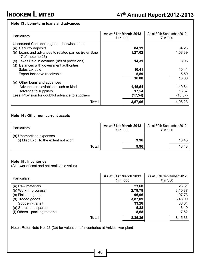#### **Note 13 : Long-term loans and advances**

| <b>Particulars</b>                                                                              | As at 31st March 2013<br>₹ in '000 | As at 30th September, 2012<br>₹ in '000 |
|-------------------------------------------------------------------------------------------------|------------------------------------|-----------------------------------------|
| Unsecured Considered good otherwise stated                                                      |                                    |                                         |
| (a) Security deposits                                                                           | 84,19                              | 84,23                                   |
| (b) Loans and advances to related parties (refer S.no<br>17 of note no 26)                      | 1,27,02                            | 1,58,39                                 |
| Taxes Paid in advance (net of provisions)<br>(C)<br>Balances with government authorities<br>(d) | 14,31                              | 8,98                                    |
| Sales tax paid                                                                                  | 10,41                              | 10,41                                   |
| Export incentive receivable                                                                     | 5,59                               | 5,59                                    |
|                                                                                                 | 16,00                              | 16.00                                   |
| (e) Other loans and advances                                                                    |                                    |                                         |
| Advances receviable in cash or kind                                                             | 1,15,54                            | 1,40,64                                 |
| Advance to suppliers                                                                            | 17,54                              | 16,37                                   |
| Less: Provision for doubtful advance to suppliers                                               | (17, 54)                           | (16, 37)                                |
| Total                                                                                           | 3,57,06                            | 4,08,23                                 |

#### **Note 14 : Other non current assets**

| <b>Particulars</b>                                                | As at 31st March 2013<br>₹ in '000 | As at 30th September, 2012<br>₹ in '000 |
|-------------------------------------------------------------------|------------------------------------|-----------------------------------------|
| (a) Unamortised expenses<br>(i) Misc Exp. To the extent not w/off | 9,96                               | 13.43                                   |
| Total                                                             | 9,96                               | 13,43                                   |

#### **Note 15 : Inventories**

(At lower of cost and net realisable value)

| <b>Particulars</b>            | As at 31st March 2013<br>₹ in '000 | As at 30th September, 2012<br>₹ in '000 |
|-------------------------------|------------------------------------|-----------------------------------------|
| (a) Raw materials             | 23,68                              | 26,31                                   |
| (b) Work-in-progress          | 2,79,78                            | 3,10,87                                 |
| (c) Finished goods            | 96.96                              | 1,07,73                                 |
| (d) Traded goods              | 3,87,09                            | 3,48,00                                 |
| Goods-in-transit              | 33,28                              | 38,64                                   |
| (e) Stores and spares         | 5,88                               | 6,19                                    |
| (f) Others - packing material | 8,68                               | 7,62                                    |
| Total                         | 8,35,35                            | 8,45,36                                 |

Note : Refer Note No. 26 (3b) for valuation of inventories at Ankleshwar plant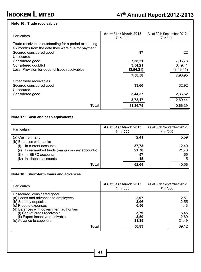## **Note 16 : Trade receivables**

| <b>Particulars</b>                                                                                                                                 | As at 31st March 2013<br>₹ in '000 | As at 30th September, 2012<br>₹ in '000 |
|----------------------------------------------------------------------------------------------------------------------------------------------------|------------------------------------|-----------------------------------------|
| Trade receivables outstanding for a period exceeding<br>six months from the date they were due for payment<br>Secured considered good<br>Unsecured | 37                                 | 22                                      |
| Considered good                                                                                                                                    | 7,58,21                            | 7,96,73                                 |
| Considered doubtful                                                                                                                                | 3,54,21                            | 3,49,41                                 |
| Less: Provision for doubtful trade receivables                                                                                                     | (3, 54, 21)                        | (3, 49, 41)                             |
|                                                                                                                                                    | 7,58,58                            | 7,96,95                                 |
| Other trade receivables<br>Secured considered good<br>Unsecured                                                                                    | 33,60                              | 32,92                                   |
| Considered good                                                                                                                                    | 3,44,57                            | 2,36,52                                 |
|                                                                                                                                                    | 3,78,17                            | 2,69,44                                 |
| Total                                                                                                                                              | 11,36,75                           | 10,66,39                                |

## **Note 17 : Cash and cash equivalents**

| <b>Particulars</b>                                 | As at 31st March 2013<br>₹ in '000 | As at 30th September, 2012<br>₹ in '000 |
|----------------------------------------------------|------------------------------------|-----------------------------------------|
| (a) Cash on hand<br>(b) Balances with banks        | 2,41                               | 5,59                                    |
| In current accounts                                | 37,73                              | 12.49                                   |
| In earmarked funds (margin money accounts)<br>(ii) | 21,78                              | 21,78                                   |
| (iii) In EEFC accounts                             | 57                                 | 55                                      |
| (iv) In deposit accounts                           | 15                                 | 15                                      |
| Total                                              | 62,64                              | 40,56                                   |

## **Note 18 : Short-term loans and advances**

| <b>Particulars</b>                                                                                                                                             |       | As at 31st March 2013<br>₹ in '000 | As at 30th September, 2012<br>₹ in '000 |
|----------------------------------------------------------------------------------------------------------------------------------------------------------------|-------|------------------------------------|-----------------------------------------|
| Unsecured, considered good<br>(a) Loans and advances to employees<br>(b) Security deposits<br>(c) Prepaid expenses<br>(d) Balances with government authorities |       | 2,07<br>3,06<br>6,56               | 2,51<br>2,55<br>4.43                    |
| (i) Cenvat credit receivable<br>(ii) Export incentive receivable<br>(e) Advance to suppliers                                                                   | Total | 3,79<br>3,50<br>31,85<br>50,83     | 5,45<br>2.69<br>21,49<br>39,12          |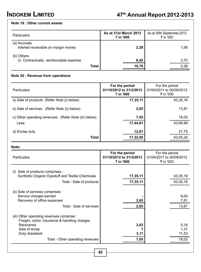#### **Note 19 : Other current assets**

| <b>Particulars</b>                                   | As at 31st March 2013<br>₹ in '000 | As at 30th September, 2012<br>₹ in '000 |
|------------------------------------------------------|------------------------------------|-----------------------------------------|
| (a) Accruals<br>Interest receivable on margin money  | 2,28                               | 1,68                                    |
| (b) Others<br>(i) Contractually reimbursable expense | 8,42                               | 3,70                                    |
| <b>Total</b>                                         | 10,70                              | 5,38                                    |

#### **Note 20 : Revenue from operations**

| <b>Particulars</b>                                   | For the period<br>01/10/2012 to 31/3/2013<br>₹ in '000 | For the period<br>01/04/2011 to 30/09/2012<br>₹ in '000 |
|------------------------------------------------------|--------------------------------------------------------|---------------------------------------------------------|
| a) Sale of products (Refer Note (i) below)           | 17,35,11                                               | 43,35,16                                                |
| b) Sale of services (Refer Note (ii) below)          | 2,65                                                   | 13,81                                                   |
| c) Other operating revenues (Refer Note (iii) below) | 7,05                                                   | 18,02                                                   |
| Less:                                                | 17,44,81                                               | 43,66,99                                                |
| d) Excise duty                                       | 12,81                                                  | 21,75                                                   |
| <b>Total</b>                                         | 17,32,00                                               | 43,45,24                                                |

#### **Note:**

| <b>Particulars</b>                                                                                                                                                           | For the period<br>01/10/2012 to 31/3/2013<br>₹ in '000 | For the period<br>01/04/2011 to 30/09/2012<br>₹ in '000 |
|------------------------------------------------------------------------------------------------------------------------------------------------------------------------------|--------------------------------------------------------|---------------------------------------------------------|
| Sale of products comprises :<br>(1)<br>Synthetic Organic Dyestuff and Textile Chemicals<br>Total - Sale of products                                                          | 17,35,11<br>17,35,11                                   | 43,35,16<br>43,35,16                                    |
| (ii) Sale of services comprises:<br>Service charges earned<br>Recovery of office expenses<br>Total - Sale of services                                                        | 2,65<br>2,65                                           | 6,00<br>7,81<br>13,81                                   |
| (iii) Other operating revenues comprise:<br>Freight, octroi, insurance & handling charges<br>Recovered<br>Sale of scrap<br>Duty drawback<br>Total - Other operating revenues | 3,93<br>3,11<br>7,05                                   | 5,18<br>1,31<br>11,53<br>18,02                          |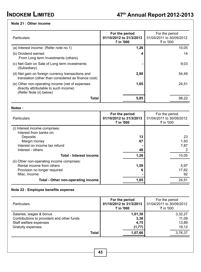## **Note 21 : Other income**

| Particulars                                                                                                         | For the period<br>01/10/2012 to 31/3/2013<br>₹ in '000 | For the period<br>01/04/2011 to 30/09/2012<br>₹ in '000 |
|---------------------------------------------------------------------------------------------------------------------|--------------------------------------------------------|---------------------------------------------------------|
| (a) Interest income (Refer note no.1)                                                                               | 1,26                                                   | 10.05                                                   |
| (b) Dividend earned<br>From Long term Investments (others)                                                          |                                                        | 14                                                      |
| (c) Net Gain on Sale of Long term investments<br>(Subsidiary)                                                       |                                                        | 9,03                                                    |
| (d) Net gain on foreign currency transactions and<br>translation (other than considered as finance cost)            | 2,90                                                   | 54.49                                                   |
| (e) Other non-operating income (net of expenses<br>directly attributable to such income)<br>(Refer Note (ii) below) | 1,65                                                   | 24.51                                                   |
| <b>Total</b>                                                                                                        | 5,85                                                   | 98.22                                                   |

**Notes :**

| <b>Particulars</b>                         | For the period<br>01/10/2012 to 31/3/2013<br>₹ in '000 | For the period<br>01/04/2011 to 30/09/2012<br>₹ in '000 |       |
|--------------------------------------------|--------------------------------------------------------|---------------------------------------------------------|-------|
| (i) Interest income comprises:             |                                                        |                                                         |       |
| Interest from banks on:                    |                                                        |                                                         |       |
| Deposits                                   | 13                                                     |                                                         | 23    |
| Margin money                               | 67                                                     |                                                         | 1.93  |
| Interest on income tax refund              |                                                        |                                                         | 7,87  |
| Interest - others                          | 46                                                     |                                                         |       |
| Total - Interest income                    | 1,26                                                   |                                                         | 10,05 |
| (ii) Other non-operating income comprises: |                                                        |                                                         |       |
| Rental income from others                  | 1,59                                                   |                                                         | 5,97  |
| Provision no longer required               |                                                        |                                                         | 17,62 |
| Misc. income                               |                                                        |                                                         | 92    |
| Total - Other non-operating income         | 1,65                                                   |                                                         | 24,51 |

## **Note 22 : Employee benefits expense**

| <b>Particulars</b>                                                                                                   | For the period<br>01/10/2012 to 31/3/2013<br>₹ in '000 | For the period<br>01/04/2011 to 30/09/2012<br>₹ in '000 |
|----------------------------------------------------------------------------------------------------------------------|--------------------------------------------------------|---------------------------------------------------------|
| Salaries, wages & bonus<br>Contributions to provident and other funds<br>Staff welfare expenses<br>Gratuity expenses | 1,01,30<br>3,38<br>4,75<br>(1, 77)                     | 3,32,27<br>11,09<br>13.89<br>19.12                      |
| <b>Total</b>                                                                                                         | 1,07,66                                                | 3,76,37                                                 |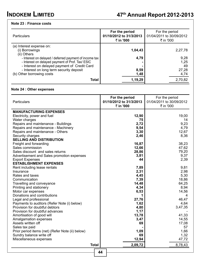## **Note 23 : Finance costs**

| <b>Particulars</b>                                                                                                                                         | For the period<br>01/10/2012 to 31/3/2013<br>₹ in '000 | For the period<br>01/04/2011 to 30/09/2012<br>₹ in '000 |  |
|------------------------------------------------------------------------------------------------------------------------------------------------------------|--------------------------------------------------------|---------------------------------------------------------|--|
| (a) Interest expense on:<br>(i) Borrowings<br>(ii) Others                                                                                                  | 1,04,43                                                | 2,27,78                                                 |  |
| - Interest on delayed / deferred payment of income tax<br>- Interest on delayed payment of Prof. Tax/ ESIC<br>- Interest on delayed payment of Credit Card | 4,79                                                   | 9,28<br>1,25<br>49                                      |  |
| - Interest on long term security deposit<br>(b) Other borrowing costs                                                                                      | 8,59<br>1,48                                           | 27,28<br>4,74                                           |  |
| Total                                                                                                                                                      | 1,19,29                                                | 2,70,82                                                 |  |

## **Note 24 : Other expenses**

| Particulars                                                                                           | For the period<br>01/10/2012 to 31/3/2013<br>₹ in '000 | For the period<br>01/04/2011 to 30/09/2012<br>₹ in '000 |
|-------------------------------------------------------------------------------------------------------|--------------------------------------------------------|---------------------------------------------------------|
| <b>MANUFACTURING EXPENSES</b><br>Electricity, power and fuel<br>Water charges                         | 12,90<br>75                                            | 19,00<br>14                                             |
| Repairs and maintenance - Buildings                                                                   | 2,72                                                   | 9,23                                                    |
| Repairs and maintenance - Machinery                                                                   | 9,54                                                   | 4,79                                                    |
| Repairs and maintenance - Others                                                                      | 3,30                                                   | 12,67                                                   |
| Security charges<br><b>SELLING AND DISTRIBUTION</b>                                                   | 2,46                                                   | 8,36                                                    |
| Freight and forwarding                                                                                | 16,87                                                  | 38.23                                                   |
| Sales commission                                                                                      | 12,66                                                  | 47,62                                                   |
| Sales discount and sales returns                                                                      | 28,86                                                  | 79,20                                                   |
| Advertisement and Sales promotion expenses<br><b>Export Expenses</b><br><b>ESTABLISHMENT EXPENSES</b> | 3,81<br>44                                             | 9,37<br>2,39                                            |
| Rent including lease rentals                                                                          | 7,89                                                   | 9,81                                                    |
| Insurance                                                                                             | 2,31                                                   | 2,98                                                    |
| Rates and taxes                                                                                       | 4,45                                                   | 5,30                                                    |
| Communication                                                                                         | 7,39                                                   | 18,86                                                   |
| Travelling and conveyance                                                                             | 14,48                                                  | 64,25                                                   |
| Printing and stationery                                                                               | 4,34                                                   | 8,94                                                    |
| Motor car expenses                                                                                    | 6,53                                                   | 14,56                                                   |
| Donations and contributions                                                                           | 1                                                      | 4                                                       |
| Legal and professional                                                                                | 27,76                                                  | 46.47                                                   |
| Payments to auditors (Refer Note (i) below)                                                           | 1,62                                                   | 4,64                                                    |
| Provision for doubtful debtors<br>Provision for doubtful advances<br>Amortisation of good will        | 4,80<br>1,17<br>13,78                                  | 3,47,35<br>41,33                                        |
| Amalgamation expenses<br>Assets written off<br>Sales tax paid                                         | 3,47<br>69                                             | 14,55<br>17,08<br>57                                    |
| Prior period items (net) (Refer Note (ii) below)                                                      | 1,09                                                   | 1,66                                                    |
| Sundry balance write off                                                                              | 69                                                     | 1,32                                                    |
| Miscellaneous expenses                                                                                | 12,94                                                  | 47,72                                                   |
| <b>Total</b>                                                                                          | 2,09,72                                                | 8,78,43                                                 |
|                                                                                                       | 44                                                     |                                                         |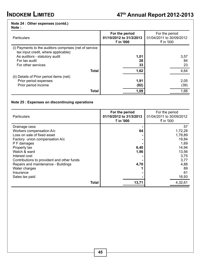## **Note 24 : Other expenses (contd.)**

## **Note :**

| <b>Particulars</b>                                                                                                                                                     | For the period<br>01/10/2012 to 31/3/2013<br>₹ in '000 | For the period<br>01/04/2011 to 30/09/2012<br>₹ in '000 |                      |
|------------------------------------------------------------------------------------------------------------------------------------------------------------------------|--------------------------------------------------------|---------------------------------------------------------|----------------------|
| (i) Payments to the auditors comprises (net of service<br>tax input credit, where applicable):<br>As auditors - statutory audit<br>For tax audit<br>For other services | 1,01<br>28<br>33                                       |                                                         | 3,57<br>84<br>23     |
| <b>Total</b>                                                                                                                                                           | 1,62                                                   |                                                         | 4,64                 |
| (ii) Details of Prior period items (net)<br>Prior period expenses<br>Prior period income<br><b>Total</b>                                                               | 1,91<br>(82)<br>1,09                                   |                                                         | 2,05<br>(39)<br>1,66 |

## **Note 25 : Expenses on discontinuing operations**

| <b>Particulars</b>                         | For the period<br>01/10/2012 to 31/3/2013<br>₹ in '000 | For the period<br>01/04/2011 to 30/09/2012<br>₹ in '000 |
|--------------------------------------------|--------------------------------------------------------|---------------------------------------------------------|
| Drainage cess                              |                                                        | 57                                                      |
| Workers compensation A/c                   | 64                                                     | 1,72,28                                                 |
| Loss on sale of fixed asset                |                                                        | 1,78,89                                                 |
| Factory union compensation A/c             |                                                        | 19,84                                                   |
| P F damages                                |                                                        | 1,69                                                    |
| Property tax                               | 6,40                                                   | 14,94                                                   |
| Watch & ward                               | 1,96                                                   | 13,56                                                   |
| Interest cost                              |                                                        | 3,75                                                    |
| Contributions to provident and other funds |                                                        | 3,77                                                    |
| Repairs and maintenance - Buildings        | 4,70                                                   | 4,88                                                    |
| Water charges                              |                                                        | 89                                                      |
| Insurance                                  |                                                        | 61                                                      |
| Sales tax paid                             |                                                        | 16,93                                                   |
| <b>Total</b>                               | 13,71                                                  | 4,32,61                                                 |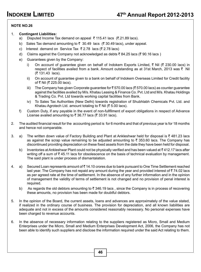#### **NOTE NO.26**

- 1. **Contingent Liabilities:**
	- a) Disputed Income Tax demand on appeal  $\bar{\tau}$  115.41 lacs ( $\bar{\tau}$ .21.89 lacs).
	- b) Sales Tax demand amounting to  $\bar{\tau}$  30.49 lacs ( $\bar{\tau}$  30.49 lacs), under appeal.
	- c) Interest demand on Service Tax  $\bar{\tau}$  2.78 lacs ( $\bar{\tau}$  2.78 lacs)
	- d) Claims against the Company not acknowledged as debts  $\bar{\tau}$  84.25 lacs ( $\bar{\tau}$  90.16 lacs )
	- e) Guarantees given by the Company:
		- i) On account of guarantee given on behalf of Indokem Exports Limited, ₹ Nil (₹ 230.00 lacs) in respect of facilities availed from a bank. Amount outstanding as at 31st March, 2013 was  $\bar{\tau}$  Nil  $($ ₹ 131.43 lacs).
		- ii) On account of guarantee given to a bank on behalf of Indokem Overseas Limited for Credit facility of ₹ Nil (₹ 225.00 lacs).
		- iii) The Company has given Corporate guarantee for  $\bar{\tau}$  570.00 lacs ( $\bar{\tau}$  570.00 lacs) as counter guarantee against the facilities availed by M/s. Khatau Leasing & Finance Co. Pvt. Ltd and M/s. Khatau Holdings & Trading Co. Pvt. Ltd towards working capital facilities from Bank.
		- iv) To Sales Tax Authorities (New Delhi) towards registration of Shubhlabh Chemicals Pvt. Ltd. and Khatau Agrotech Ltd. amount totaling to  $\bar{\tau}$  Nil ( $\bar{\tau}$  5.00 lacs).
	- f) Custom Duty, if any payable in the event of non-fullfilment of export obligations in respect of Advance License availed amounting to ₹ 36.77 lacs (₹ 33.91 lacs).
- 2. The audited financial result for the accounting period is for 6 months and that of previous year is for 18 months and hence not comparable.
- 3. a) The written down value of Factory Building and Plant at Ankleshwar held for disposal is  $\bar{\tau}$  481.23 lacs as against the scrap value remaining to be adjusted amounting to  $\bar{\tau}$  353.60 lacs. The Company has discontinued providing depreciation on these fixed assets from the date they have been held for disposal.
	- b) Inventories at Ankleshwar Plant could not be physically verified and has been valued at  $\bar{\tau}$  412.17 lacs after writing off a sum of  $\bar{\tau}$  45.11 lacs for obsolescence on the basis of technical evaluation by management. The said plant is under process of dismantalation.
- 4. a) Secured Loan represents amount of  $\bar{z}$  14.10 crores due to bank pursuant to One Time Settlement reached last year. The Company has not repaid any amount during the year and provided interest of  $\bar{z}$  74.02 lacs as per agreed rate at the time of settlement. In the absence of any further information and in the opinion of management the validity of terms of settlement is not changed and no provision of penal interest is required.
	- b) As regards the old debtors amounting to  $\bar{\tau}$  346.19 lacs , since the Company is in process of recovering these amounts, no provision has been made for doubtful debtors.
- 5. In the opinion of the Board, the current assets, loans and advances are approximately of the value stated, if realized in the ordinary course of business. The provision for depreciation, and all known liabilities are adequate and not in excess of the amounts considered reasonably necessary. No personal expenses have been charged to revenue accounts.
- 6. In the absence of necessary information relating to the suppliers registered as Micro, Small and Medium Enterprises under the Micro, Small and Medium Enterprises Development Act, 2006, the Company has not been able to identify such suppliers and disclose the information required under the said Act relating to them.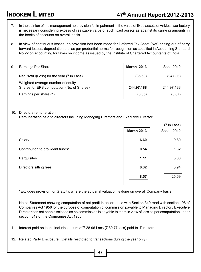- 7. In the opinion of the management no provision for impairment in the value of fixed assets of Ankleshwar factory is necessary considering excess of realizable value of such fixed assets as against its carrying amounts in the books of accounts on overall basis.
- 8. In view of continuous losses, no provision has been made for Deferred Tax Asset (Net) arising out of carry forward losses, depreciation etc. as per prudential norms for recognition as specified in Accounting Standard No 22 on Accounting for taxes on income as issued by the Institute of Chartered Accountants of India.

| 9. | Earnings Per Share                                                              | <b>March 2013</b> | Sept. 2012 |
|----|---------------------------------------------------------------------------------|-------------------|------------|
|    | Net Profit /(Loss) for the year ( $\bar{\tau}$ in Lacs)                         | (85.53)           | (947.36)   |
|    | Weighted average number of equity<br>Shares for EPS computation (No. of Shares) | 244,97,188        | 244,97,188 |
|    | Earnings per share $(\bar{\tau})$                                               | (0.35)            | (3.87)     |

#### 10. Directors remuneration:

Remuneration paid to directors including Managing Directors and Executive Director

|                                  |                   | (₹ in Lacs) |
|----------------------------------|-------------------|-------------|
|                                  | <b>March 2013</b> | Sept. 2012  |
| Salary                           | 6.60              | 19.80       |
| Contribution to provident funds* | 0.54              | 1.62        |
| Perquisites                      | 1.11              | 3.33        |
| Directors sitting fees           | 0.32              | 0.94        |
|                                  | 8.57              | 25.69       |
|                                  |                   |             |

\*Excludes provision for Gratuity, where the actuarial valuation is done on overall Company basis

Note: Statement showing computation of net profit in accordance with Section 349 read with section 198 of Companies Act 1956 for the purpose of computation of commission payable to Managing Director / Executive Director has not been disclosed as no commission is payable to them in view of loss as per computation under section 349 of the Companies Act 1956

11. Interest paid on loans includes a sum of  $\bar{\tau}$  28.96 Lacs ( $\bar{\tau}$  80.77 lacs) paid to Directors.

12. Related Party Disclosure: (Details restricted to transactions during the year only)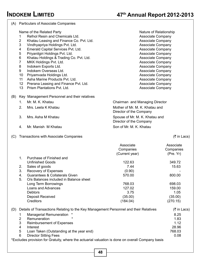|     |                                                                                                      | (A) Particulars of Associate Companies                                                                                                                                                                                                                                                                                                                                                                                                                                           |                                                                                                                                                                                                                                                                                                         |                                     |
|-----|------------------------------------------------------------------------------------------------------|----------------------------------------------------------------------------------------------------------------------------------------------------------------------------------------------------------------------------------------------------------------------------------------------------------------------------------------------------------------------------------------------------------------------------------------------------------------------------------|---------------------------------------------------------------------------------------------------------------------------------------------------------------------------------------------------------------------------------------------------------------------------------------------------------|-------------------------------------|
|     | 1<br>$\overline{\mathbf{c}}$<br>3<br>4<br>5<br>6<br>$\overline{7}$<br>8<br>9<br>10<br>11<br>12<br>13 | Name of the Related Party<br>Refnol Resin and Chemicals Ltd.<br>Khatau Leasing and Finance Co. Pvt. Ltd.<br>Vindhyapriya Holdings Pvt. Ltd.<br>Emerald Capital Services Pvt. Ltd.<br>Priyanilgiri Holdings Pvt. Ltd.<br>Khatau Holdings & Trading Co. Pvt. Ltd.<br>MKK Holdings Pvt. Ltd.<br>Indokem Exports Ltd.<br>Indokem Overseas Ltd.<br>Priyamvada Holdings Ltd.<br>Asha Marine Products Pvt. Ltd.<br>Prerana Leasing and Finance Pvt. Ltd.<br>Prism Plantations Pyt. Ltd. | Nature of Relationship<br>Associate Company<br>Associate Company<br>Associate Company<br>Associate Company<br>Associate Company<br>Associate Company<br>Associate Company<br>Associate Company<br>Associate Company<br>Associate Company<br>Associate Company<br>Associate Company<br>Associate Company |                                     |
| (B) |                                                                                                      | Key Management Personnel and their relatives                                                                                                                                                                                                                                                                                                                                                                                                                                     |                                                                                                                                                                                                                                                                                                         |                                     |
|     | 1.                                                                                                   | Mr. M. K. Khatau                                                                                                                                                                                                                                                                                                                                                                                                                                                                 | Chairman and Managing Director                                                                                                                                                                                                                                                                          |                                     |
|     | 2.                                                                                                   | Mrs. Leela K Khatau                                                                                                                                                                                                                                                                                                                                                                                                                                                              | Mother of Mr. M. K. Khatau and<br>Director of the Company                                                                                                                                                                                                                                               |                                     |
|     | 3.                                                                                                   | Mrs. Asha M Khatau                                                                                                                                                                                                                                                                                                                                                                                                                                                               | Spouse of Mr. M. K. Khatau and<br>Director of the Company                                                                                                                                                                                                                                               |                                     |
|     | 4.                                                                                                   | Mr. Manish M Khatau                                                                                                                                                                                                                                                                                                                                                                                                                                                              | Son of Mr. M. K. Khatau                                                                                                                                                                                                                                                                                 |                                     |
| (C) |                                                                                                      | Transactions with Associate Companies                                                                                                                                                                                                                                                                                                                                                                                                                                            |                                                                                                                                                                                                                                                                                                         | $(5 \in \mathsf{In}$ Lacs)          |
|     |                                                                                                      |                                                                                                                                                                                                                                                                                                                                                                                                                                                                                  | Associate<br>Companies<br>(Current year)                                                                                                                                                                                                                                                                | Associate<br>Companies<br>(Pre. Yr) |
|     | 1.                                                                                                   | Purchase of Finished and                                                                                                                                                                                                                                                                                                                                                                                                                                                         |                                                                                                                                                                                                                                                                                                         |                                     |
|     |                                                                                                      | Unfinished Goods                                                                                                                                                                                                                                                                                                                                                                                                                                                                 | 122.63                                                                                                                                                                                                                                                                                                  | 349.72                              |
|     | 2.                                                                                                   | Sales of goods                                                                                                                                                                                                                                                                                                                                                                                                                                                                   | 7.44                                                                                                                                                                                                                                                                                                    | 15.63                               |
|     | 3.                                                                                                   | Recovery of Expenses                                                                                                                                                                                                                                                                                                                                                                                                                                                             | (0.90)                                                                                                                                                                                                                                                                                                  |                                     |
|     | 4.<br>5.                                                                                             | Guarantees & Collaterals Given<br>O/s Balances included in Balance sheet                                                                                                                                                                                                                                                                                                                                                                                                         | 570.00                                                                                                                                                                                                                                                                                                  | 800.00                              |
|     |                                                                                                      | Long Term Borrowings                                                                                                                                                                                                                                                                                                                                                                                                                                                             | 768.03                                                                                                                                                                                                                                                                                                  | 698.03                              |
|     |                                                                                                      | Loans and Advances                                                                                                                                                                                                                                                                                                                                                                                                                                                               | 127.02                                                                                                                                                                                                                                                                                                  | 159.00                              |
|     |                                                                                                      | Debtors                                                                                                                                                                                                                                                                                                                                                                                                                                                                          | 3.75                                                                                                                                                                                                                                                                                                    | 1.05                                |
|     |                                                                                                      | Deposit Received                                                                                                                                                                                                                                                                                                                                                                                                                                                                 | (35.00)                                                                                                                                                                                                                                                                                                 | (35.00)                             |
|     |                                                                                                      | Creditors                                                                                                                                                                                                                                                                                                                                                                                                                                                                        | (184.04)                                                                                                                                                                                                                                                                                                | (270.15)                            |
| (D) |                                                                                                      | Details of Transactions Relating to the Key Management Personnel and their Relatives                                                                                                                                                                                                                                                                                                                                                                                             |                                                                                                                                                                                                                                                                                                         | (₹ in Lacs)                         |
|     | 1                                                                                                    | Managerial Remuneration                                                                                                                                                                                                                                                                                                                                                                                                                                                          |                                                                                                                                                                                                                                                                                                         | 8.25                                |
|     | $\overline{\mathbf{c}}$                                                                              | Remuneration                                                                                                                                                                                                                                                                                                                                                                                                                                                                     |                                                                                                                                                                                                                                                                                                         | 1.83                                |
|     | 3                                                                                                    | Reimbursement of Expenses                                                                                                                                                                                                                                                                                                                                                                                                                                                        |                                                                                                                                                                                                                                                                                                         | 1.12                                |
|     | 4                                                                                                    | Interest                                                                                                                                                                                                                                                                                                                                                                                                                                                                         |                                                                                                                                                                                                                                                                                                         | 28.96                               |
|     | 5                                                                                                    | Loan Taken (Outstanding at the year end)                                                                                                                                                                                                                                                                                                                                                                                                                                         |                                                                                                                                                                                                                                                                                                         | 768.03                              |
|     | 6                                                                                                    | <b>Director Sitting Fees</b>                                                                                                                                                                                                                                                                                                                                                                                                                                                     |                                                                                                                                                                                                                                                                                                         | 0.08                                |
|     |                                                                                                      | *Excludes provision for Gratuity, where the actuarial valuation is done on overall Company basis                                                                                                                                                                                                                                                                                                                                                                                 |                                                                                                                                                                                                                                                                                                         |                                     |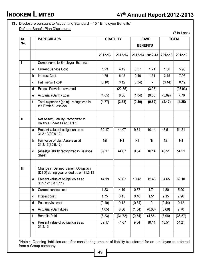# **INDOKEM LIMITED 47th Annual Report 2012-2013**

## **13 .** Disclosure pursuant to Accounting Standard – 15 " Employee Benefits" Defined Benefit Plan Disclosures

| Sr.                     |              | <b>PARTICULARS</b>                                                            |            | <b>GRATUITY</b> |        | <b>LEAVE</b>    |         | <b>TOTAL</b> |
|-------------------------|--------------|-------------------------------------------------------------------------------|------------|-----------------|--------|-----------------|---------|--------------|
| No.                     |              |                                                                               |            |                 |        | <b>BENEFITS</b> |         |              |
|                         |              |                                                                               | 2012-13    | 2012-13         |        | 2012-13 2012-13 | 2012-13 | 2012-13      |
| $\mathbf{I}$            |              | Components to Employer Expense                                                |            |                 |        |                 |         |              |
|                         | a            | <b>Current Service Cost</b>                                                   | 1.23       | 4.19            | 0.57   | 1.71            | 1.80    | 5.90         |
|                         | b            | <b>Interest Cost</b>                                                          | 1.75       | 6.45            | 0.40   | 1.51            | 2.15    | 7.96         |
|                         | Ċ            | Past service cost                                                             | (0.10)     | 0.12            | (0.34) |                 | (0.44)  | 0.12         |
|                         | d            | <b>Excess Provision reversed</b>                                              |            | (22.85)         |        | (3.08)          |         | (25.93)      |
|                         | e            | Actuarial (Gain) / Loss                                                       | (4.65)     | 8.36            | (1.04) | (0.66)          | (5.69)  | 7.70         |
|                         | f            | Total expense / (gain)<br>recognized in<br>the Profit & Loss a/c              | (1.77)     | (3.73)          | (0.40) | (0.52)          | (2.17)  | (4.25)       |
| $\mathbf l$             |              | Net Asset/(Liability) recognized in<br>Balance Sheet as at 31.3.13            |            |                 |        |                 |         |              |
|                         | a            | Present value of obligation as at<br>31.3.13(30.9.12)                         | 39.17      | 44.07           | 9.34   | 10.14           | 48.51   | 54.21        |
|                         | b            | Fair value of plan Assets as at<br>31.3.13(30.9.12)                           | <b>Nil</b> | Nil             | Nil    | Nil             | Nil     | <b>Nil</b>   |
|                         | c            | (Asset)/Liability recognized in Balance<br>Sheet                              | 39.17      | 44.07           | 9.34   | 10.14           | 48.51   | 54.21        |
| $\overline{\mathbb{H}}$ |              | Change in Defined Benefit Obligation<br>(DBO) during year ended as on 31.3.13 |            |                 |        |                 |         |              |
|                         | a            | Present value of obligation as at<br>30.9.12* (31.3.11)                       | 44.18      | 56.67           | 10.48  | 12.43           | 54.65   | 69.10        |
|                         | b            | Current service cost                                                          | 1.23       | 4.19            | 0.57   | 1.71            | 1.80    | 5.90         |
|                         | C            | Interest cost                                                                 | 1.75       | 6.45            | 0.40   | 1.51            | 2.15    | 7.96         |
|                         | d            | Past service cost                                                             | (0.10)     | 0.12            | (0.34) | 0               | (0.44)  | 0.12         |
|                         | е            | Actuarial (Gain)/Loss                                                         | (4.65)     | 8.36            | (1.04) | (0.66)          | (5.69)  | 7.70         |
|                         | $\mathbf{f}$ | <b>Benefits Paid</b>                                                          | (3.23)     | (31.72)         | (0.74) | (4.85)          | (3.98)  | (36.57)      |
|                         | g            | Present value of obligation as at<br>31.3.13                                  | 39.17      | 44.07           | 9.34   | 10.14           | 48.51   | 54.21        |

\*Note :- Opening liabilities are after considering amount of liability transferred for an employee transferred from a Group company .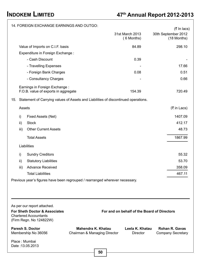|        | 14. FOREIGN EXCHANGE EARNINGS AND OUTGO:                                                                                |                                                    |    |                                             |                                                      |
|--------|-------------------------------------------------------------------------------------------------------------------------|----------------------------------------------------|----|---------------------------------------------|------------------------------------------------------|
|        |                                                                                                                         |                                                    |    | 31st March 2013<br>(6 Months)               | $($ ₹ In lacs)<br>30th September 2012<br>(18 Months) |
|        | Value of Imports on C.I.F. basis                                                                                        |                                                    |    | 84.89                                       | 298.10                                               |
|        | Expenditure in Foreign Exchange :                                                                                       |                                                    |    |                                             |                                                      |
|        | - Cash Discount                                                                                                         |                                                    |    | 0.39                                        |                                                      |
|        | - Travelling Expenses                                                                                                   |                                                    |    |                                             | 17.66                                                |
|        | - Foreign Bank Charges                                                                                                  |                                                    |    | 0.08                                        | 0.51                                                 |
|        | - Consultancy Charges                                                                                                   |                                                    |    |                                             | 0.66                                                 |
|        | Earnings in Foreign Exchange:<br>F.O.B. value of exports in aggregate                                                   |                                                    |    | 154.39                                      | 720.49                                               |
|        | 15. Statement of Carrying values of Assets and Liabilities of discontinued operations.                                  |                                                    |    |                                             |                                                      |
| Assets |                                                                                                                         |                                                    |    |                                             | (₹ in Lacs)                                          |
| i)     | Fixed Assets (Net)                                                                                                      |                                                    |    |                                             | 1407.09                                              |
| ii)    | <b>Stock</b>                                                                                                            |                                                    |    |                                             | 412.17                                               |
| iii)   | <b>Other Current Assets</b>                                                                                             |                                                    |    |                                             | 48.73                                                |
|        | <b>Total Assets</b>                                                                                                     |                                                    |    |                                             | 1867.99                                              |
|        | Liabilities                                                                                                             |                                                    |    |                                             |                                                      |
| i)     | <b>Sundry Creditors</b>                                                                                                 |                                                    |    |                                             | 55.32                                                |
| ii)    | <b>Statutory Liabilities</b>                                                                                            |                                                    |    |                                             | 53.70                                                |
| iii)   | <b>Advance Received</b>                                                                                                 |                                                    |    |                                             | 358.09                                               |
|        | <b>Total Liabilities</b>                                                                                                |                                                    |    |                                             | 467.11                                               |
|        | Previous year's figures have been regrouped / rearranged wherever necessary.                                            |                                                    |    |                                             |                                                      |
|        |                                                                                                                         |                                                    |    |                                             |                                                      |
|        |                                                                                                                         |                                                    |    |                                             |                                                      |
|        | As per our report attached.<br>For Sheth Doctor & Associates<br><b>Chartered Accountants</b><br>(Firm Regn. No 124822W) |                                                    |    | For and on behalf of the Board of Directors |                                                      |
|        | <b>Paresh S. Doctor</b><br>Membership No 36056                                                                          | Mahendra K. Khatau<br>Chairman & Managing Director |    | Leela K. Khatau<br>Director                 | Rohan R. Gavas<br><b>Company Secretary</b>           |
|        | Place: Mumbai<br>Date: 13.05.2013                                                                                       |                                                    |    |                                             |                                                      |
|        |                                                                                                                         |                                                    | 50 |                                             |                                                      |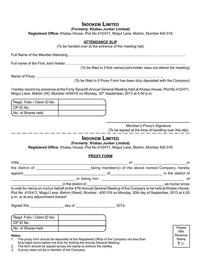## **INDOKEM LIMITED**

**(Formerly: Khatau Junker Limited)**

**Registered Office:** Khatau House, Plot No.410/411, Mogul Lane, Mahim, Mumbai 400 016

#### **ATTENDANCE SLIP**

(To be handed over at the entrance of the meeting hall)

Full Name of the Member Attending ……………………………………..................................………......................

Full name of the First Joint Holder ………………………………………………………….................................…….

(To be filled in if first named joint-holder does not attend the meeting)

Name of Proxy ……………………………………………………………………………………………..

(To be filled in if Proxy Form has been duly deposited with the Company)

I hereby record my presence at the Forty-Seventh Annual General Meeting held at Khatau House, Plot No.410/411, Mogul Lane, Mahim (W), Mumbai-400016 on Monday, 30<sup>th</sup> September, 2013 at 4.00 p.m.

| (Regd. Folio / Client ID No. |  |
|------------------------------|--|
| I DP ID No.                  |  |
| I No. of Shares held         |  |

Member's Proxy's Signature (To be signed at the time of handling over this slip)

## **INDOKEM LIMITED**

**(Formerly: Khatau Junker Limited)**

**Registered Office:** Khatau House, Plot No.410/411, Mogul Lane, Mahim, Mumbai 400 016

#### **PROXY FORM**

| I/We            |                    | 01 | ın                                                 |
|-----------------|--------------------|----|----------------------------------------------------|
| the district of |                    |    | being member(s) of the above named Company, hereby |
| appoint         |                    | Ωt | in the district of                                 |
|                 | or failing him     |    | ΩŤ                                                 |
|                 | in the district of |    | as my/our proxy                                    |

to vote for me/us on my/our behalf at the 47th Annual General Meeting of the Company to be held at Khatau House, Plot No. 410/411, Mogul Lane, Mahim (West), Mumbai - 400 016 on Monday, 30th day of September, 2013 at 4.00 p.m. or at any adjournment thereof.

Signed this and a control day of the control of the 2013.

| (Regd. Folio / Client ID No. |  |
|------------------------------|--|
| I DP ID No.                  |  |
| I No. of Shares held         |  |

#### **Notes:**

- 1. The proxy form should be deposited at the Registered Office of the Company not less than forty-eight hours before the time for holding the Annual General Meeting.
- 2. The form should be signed across the stamp to enforce the validity.
- 3. A proxy need not be a member of the Company.

Please Affix Revenue Stamp ₹ 1/-